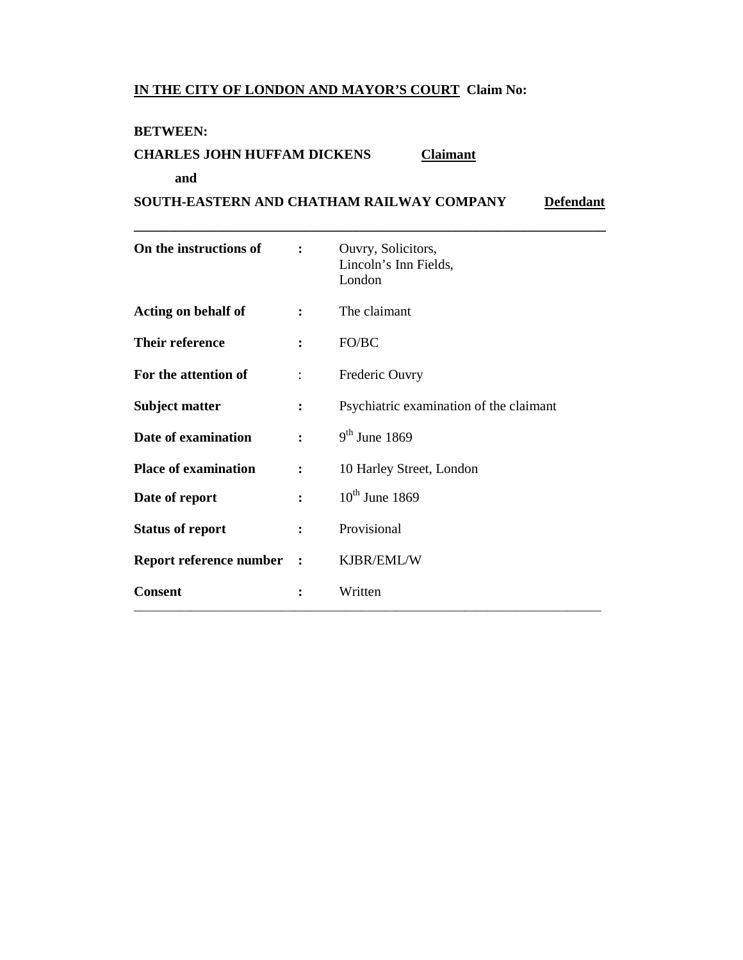## **IN THE CITY OF LONDON AND MAYOR'S COURT Claim No:**

#### **BETWEEN:**

## **CHARLES JOHN HUFFAM DICKENS Claimant**

#### **and**

**SOUTH-EASTERN AND CHATHAM RAILWAY COMPANY** Defendant

**\_\_\_\_\_\_\_\_\_\_\_\_\_\_\_\_\_\_\_\_\_\_\_\_\_\_\_\_\_\_\_\_\_\_\_\_\_\_\_\_\_\_\_\_\_\_\_\_\_\_\_\_\_\_\_\_\_\_\_\_\_\_\_\_\_\_\_\_\_** 

| On the instructions of      | $\ddot{\cdot}$       | Ouvry, Solicitors,<br>Lincoln's Inn Fields,<br>London |
|-----------------------------|----------------------|-------------------------------------------------------|
| <b>Acting on behalf of</b>  | $\ddot{\cdot}$       | The claimant                                          |
| Their reference             | $\ddot{\cdot}$       | FO/BC                                                 |
| For the attention of        | $\ddot{\cdot}$       | Frederic Ouvry                                        |
| <b>Subject matter</b>       | $\ddot{\cdot}$       | Psychiatric examination of the claimant               |
| Date of examination         | $\ddot{\cdot}$       | $9th$ June 1869                                       |
| <b>Place of examination</b> | $\ddot{\cdot}$       | 10 Harley Street, London                              |
| Date of report              | $\ddot{\cdot}$       | $10^{th}$ June 1869                                   |
| <b>Status of report</b>     | $\ddot{\cdot}$       | Provisional                                           |
| Report reference number     | $\ddot{\phantom{1}}$ | KJBR/EML/W                                            |
| <b>Consent</b>              |                      | Written                                               |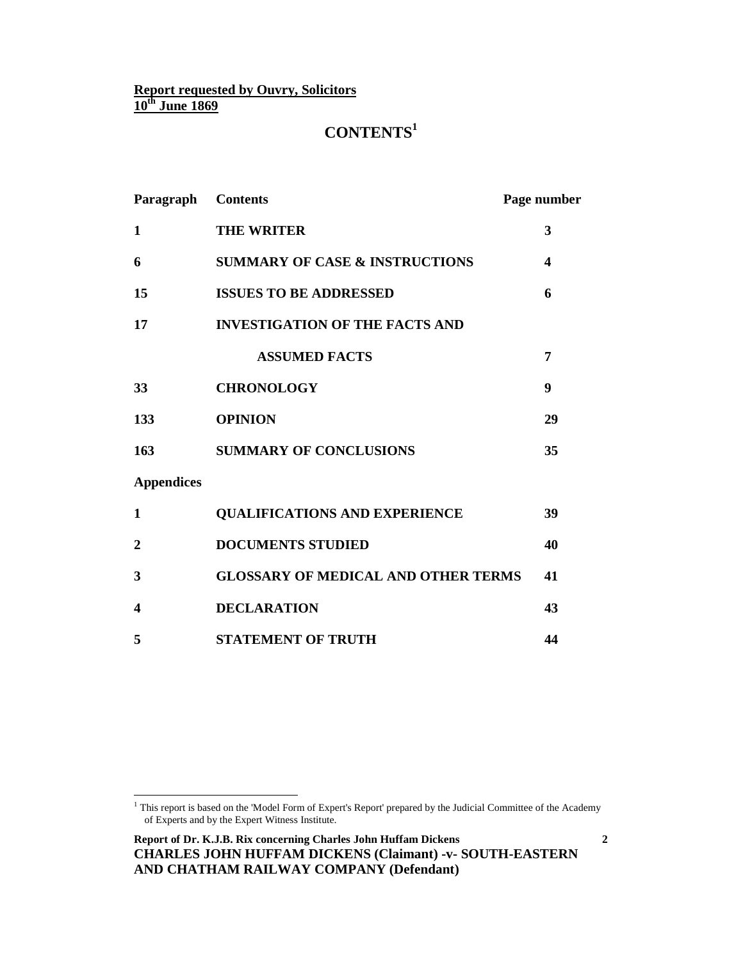# **CONTENTS<sup>1</sup>**

| Paragraph               | <b>Contents</b>                            | Page number             |
|-------------------------|--------------------------------------------|-------------------------|
| 1                       | <b>THE WRITER</b>                          | 3                       |
| 6                       | <b>SUMMARY OF CASE &amp; INSTRUCTIONS</b>  | $\overline{\mathbf{4}}$ |
| 15                      | <b>ISSUES TO BE ADDRESSED</b>              | 6                       |
| 17                      | <b>INVESTIGATION OF THE FACTS AND</b>      |                         |
|                         | <b>ASSUMED FACTS</b>                       | 7                       |
| 33                      | <b>CHRONOLOGY</b>                          | 9                       |
| 133                     | <b>OPINION</b>                             | 29                      |
| 163                     | <b>SUMMARY OF CONCLUSIONS</b>              | 35                      |
| <b>Appendices</b>       |                                            |                         |
| $\mathbf{1}$            | <b>QUALIFICATIONS AND EXPERIENCE</b>       | 39                      |
| $\boldsymbol{2}$        | <b>DOCUMENTS STUDIED</b>                   | 40                      |
| 3                       | <b>GLOSSARY OF MEDICAL AND OTHER TERMS</b> | 41                      |
| $\overline{\mathbf{4}}$ | <b>DECLARATION</b>                         | 43                      |
| 5                       | <b>STATEMENT OF TRUTH</b>                  | 44                      |

 1 This report is based on the 'Model Form of Expert's Report' prepared by the Judicial Committee of the Academy of Experts and by the Expert Witness Institute.

**Report of Dr. K.J.B. Rix concerning Charles John Huffam Dickens CHARLES JOHN HUFFAM DICKENS (Claimant) -v- SOUTH-EASTERN AND CHATHAM RAILWAY COMPANY (Defendant)**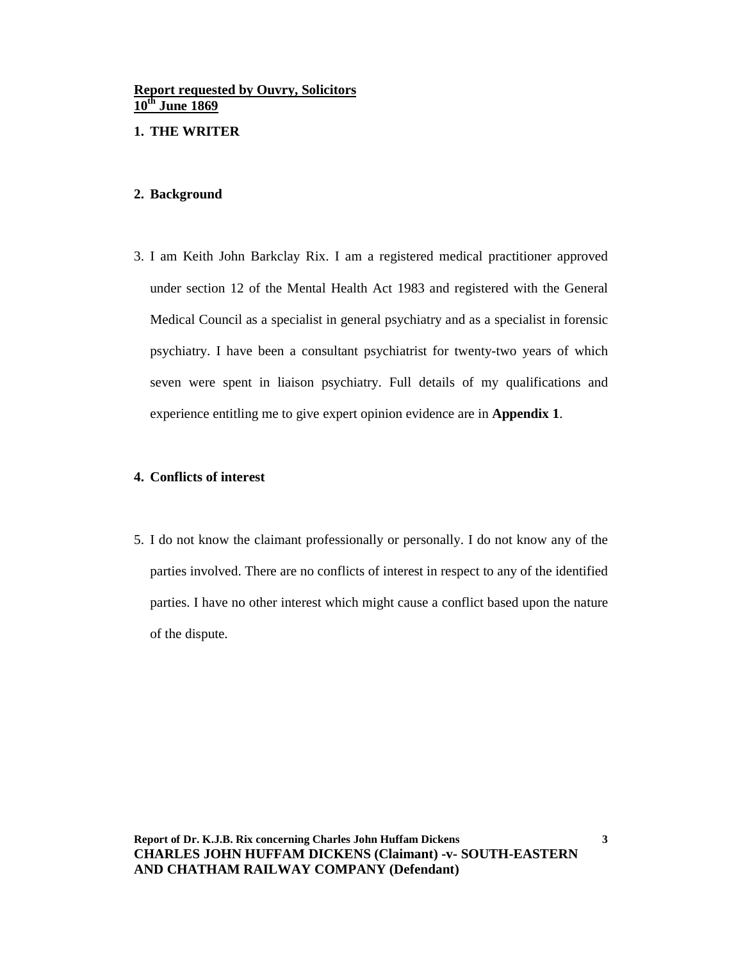#### **1. THE WRITER**

#### **2. Background**

3. I am Keith John Barkclay Rix. I am a registered medical practitioner approved under section 12 of the Mental Health Act 1983 and registered with the General Medical Council as a specialist in general psychiatry and as a specialist in forensic psychiatry. I have been a consultant psychiatrist for twenty-two years of which seven were spent in liaison psychiatry. Full details of my qualifications and experience entitling me to give expert opinion evidence are in **Appendix 1**.

#### **4. Conflicts of interest**

5. I do not know the claimant professionally or personally. I do not know any of the parties involved. There are no conflicts of interest in respect to any of the identified parties. I have no other interest which might cause a conflict based upon the nature of the dispute.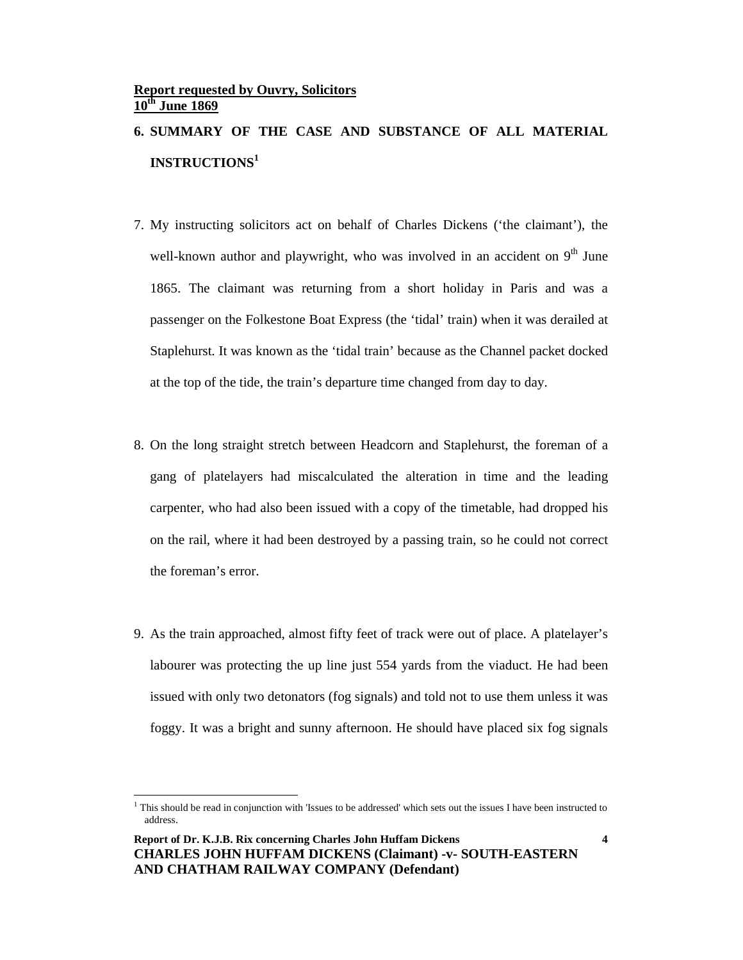# **6. SUMMARY OF THE CASE AND SUBSTANCE OF ALL MATERIAL INSTRUCTIONS<sup>1</sup>**

- 7. My instructing solicitors act on behalf of Charles Dickens ('the claimant'), the well-known author and playwright, who was involved in an accident on  $9<sup>th</sup>$  June 1865. The claimant was returning from a short holiday in Paris and was a passenger on the Folkestone Boat Express (the 'tidal' train) when it was derailed at Staplehurst. It was known as the 'tidal train' because as the Channel packet docked at the top of the tide, the train's departure time changed from day to day.
- 8. On the long straight stretch between Headcorn and Staplehurst, the foreman of a gang of platelayers had miscalculated the alteration in time and the leading carpenter, who had also been issued with a copy of the timetable, had dropped his on the rail, where it had been destroyed by a passing train, so he could not correct the foreman's error.
- 9. As the train approached, almost fifty feet of track were out of place. A platelayer's labourer was protecting the up line just 554 yards from the viaduct. He had been issued with only two detonators (fog signals) and told not to use them unless it was foggy. It was a bright and sunny afternoon. He should have placed six fog signals

 $\overline{a}$ 

<sup>&</sup>lt;sup>1</sup> This should be read in conjunction with 'Issues to be addressed' which sets out the issues I have been instructed to address.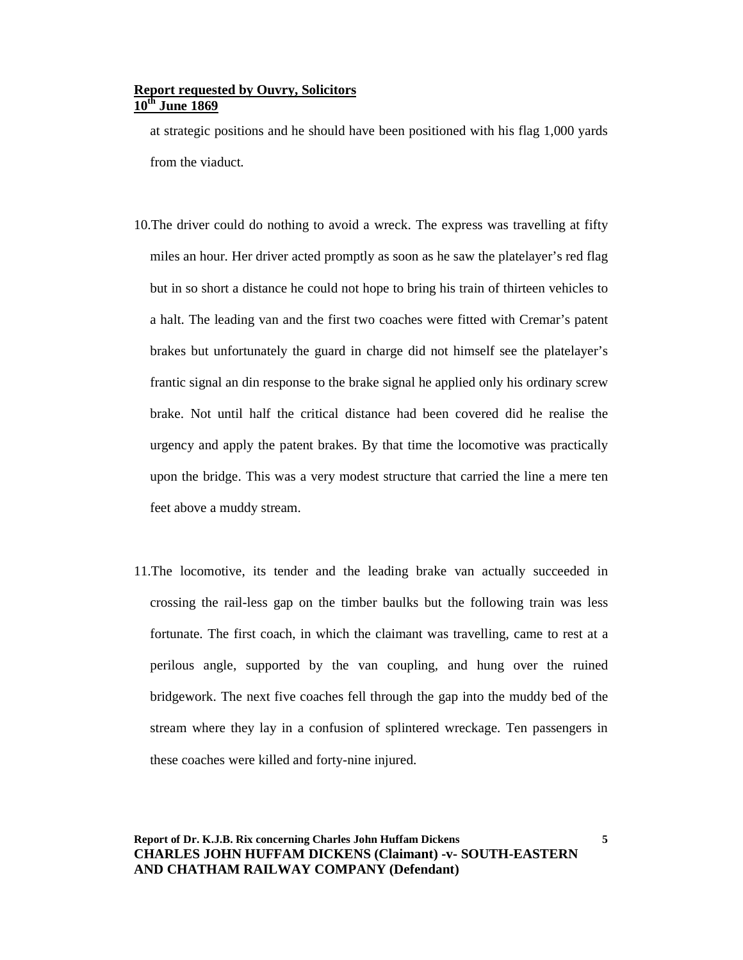at strategic positions and he should have been positioned with his flag 1,000 yards from the viaduct.

- 10.The driver could do nothing to avoid a wreck. The express was travelling at fifty miles an hour. Her driver acted promptly as soon as he saw the platelayer's red flag but in so short a distance he could not hope to bring his train of thirteen vehicles to a halt. The leading van and the first two coaches were fitted with Cremar's patent brakes but unfortunately the guard in charge did not himself see the platelayer's frantic signal an din response to the brake signal he applied only his ordinary screw brake. Not until half the critical distance had been covered did he realise the urgency and apply the patent brakes. By that time the locomotive was practically upon the bridge. This was a very modest structure that carried the line a mere ten feet above a muddy stream.
- 11.The locomotive, its tender and the leading brake van actually succeeded in crossing the rail-less gap on the timber baulks but the following train was less fortunate. The first coach, in which the claimant was travelling, came to rest at a perilous angle, supported by the van coupling, and hung over the ruined bridgework. The next five coaches fell through the gap into the muddy bed of the stream where they lay in a confusion of splintered wreckage. Ten passengers in these coaches were killed and forty-nine injured.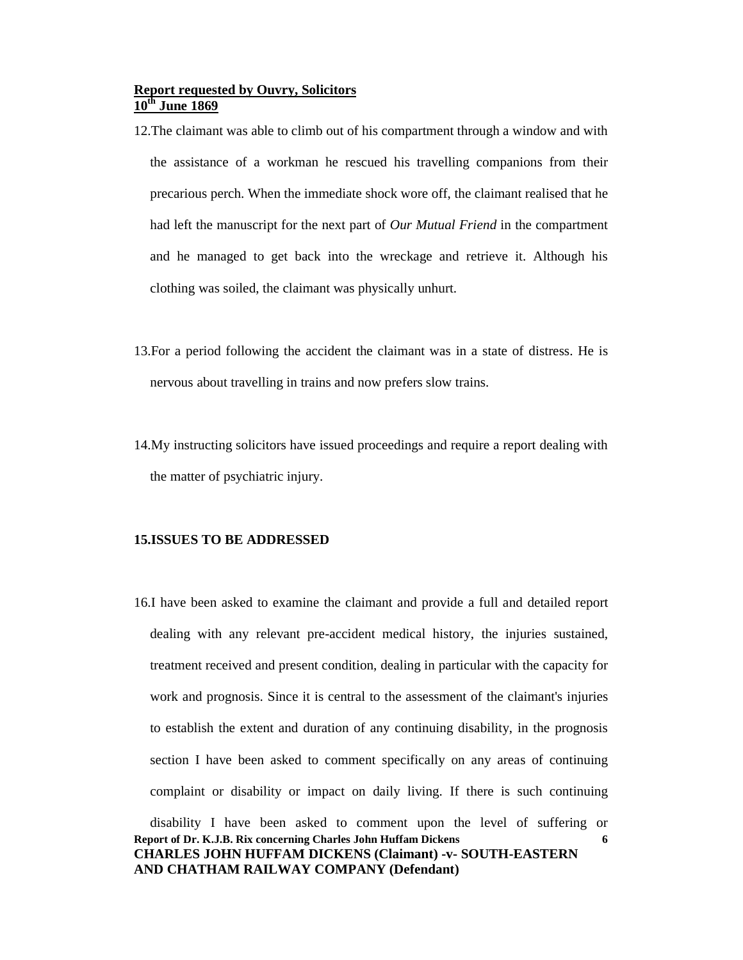- 12.The claimant was able to climb out of his compartment through a window and with the assistance of a workman he rescued his travelling companions from their precarious perch. When the immediate shock wore off, the claimant realised that he had left the manuscript for the next part of *Our Mutual Friend* in the compartment and he managed to get back into the wreckage and retrieve it. Although his clothing was soiled, the claimant was physically unhurt.
- 13.For a period following the accident the claimant was in a state of distress. He is nervous about travelling in trains and now prefers slow trains.
- 14.My instructing solicitors have issued proceedings and require a report dealing with the matter of psychiatric injury.

#### **15.ISSUES TO BE ADDRESSED**

16.I have been asked to examine the claimant and provide a full and detailed report dealing with any relevant pre-accident medical history, the injuries sustained, treatment received and present condition, dealing in particular with the capacity for work and prognosis. Since it is central to the assessment of the claimant's injuries to establish the extent and duration of any continuing disability, in the prognosis section I have been asked to comment specifically on any areas of continuing complaint or disability or impact on daily living. If there is such continuing disability I have been asked to comment upon the level of suffering or

```
Report of Dr. K.J.B. Rix concerning Charles John Huffam Dickens 
CHARLES JOHN HUFFAM DICKENS (Claimant) -v- SOUTH-EASTERN 
AND CHATHAM RAILWAY COMPANY (Defendant)
                                                                     6
```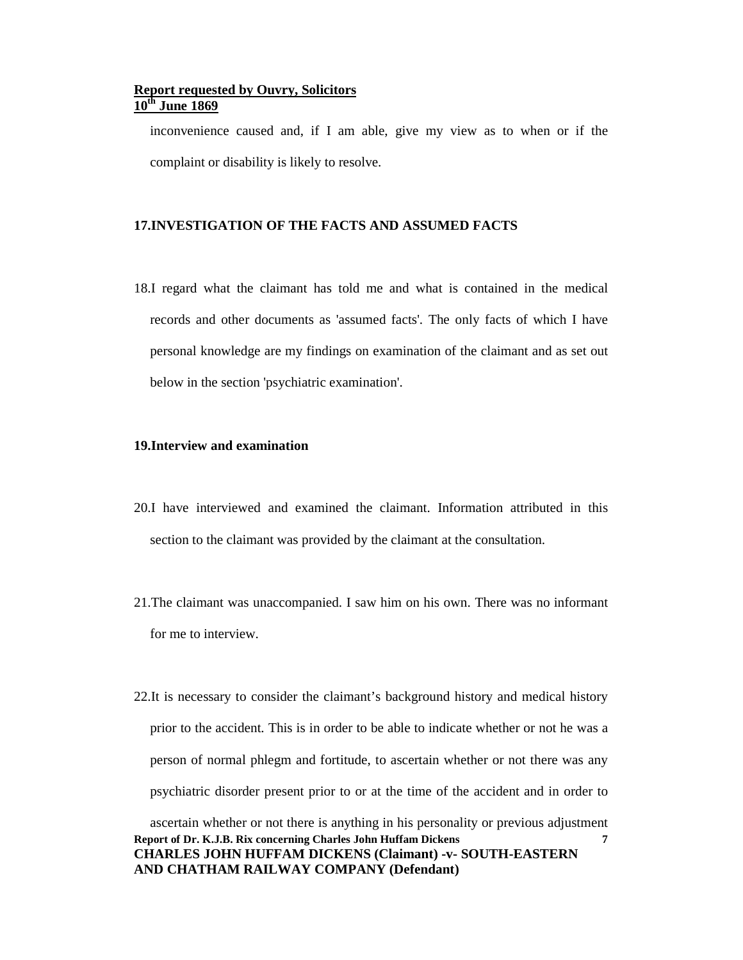inconvenience caused and, if I am able, give my view as to when or if the complaint or disability is likely to resolve.

#### **17.INVESTIGATION OF THE FACTS AND ASSUMED FACTS**

18.I regard what the claimant has told me and what is contained in the medical records and other documents as 'assumed facts'. The only facts of which I have personal knowledge are my findings on examination of the claimant and as set out below in the section 'psychiatric examination'.

#### **19.Interview and examination**

- 20.I have interviewed and examined the claimant. Information attributed in this section to the claimant was provided by the claimant at the consultation.
- 21.The claimant was unaccompanied. I saw him on his own. There was no informant for me to interview.
- **Report of Dr. K.J.B. Rix concerning Charles John Huffam Dickens CHARLES JOHN HUFFAM DICKENS (Claimant) -v- SOUTH-EASTERN 7** 22.It is necessary to consider the claimant's background history and medical history prior to the accident. This is in order to be able to indicate whether or not he was a person of normal phlegm and fortitude, to ascertain whether or not there was any psychiatric disorder present prior to or at the time of the accident and in order to ascertain whether or not there is anything in his personality or previous adjustment

**AND CHATHAM RAILWAY COMPANY (Defendant)**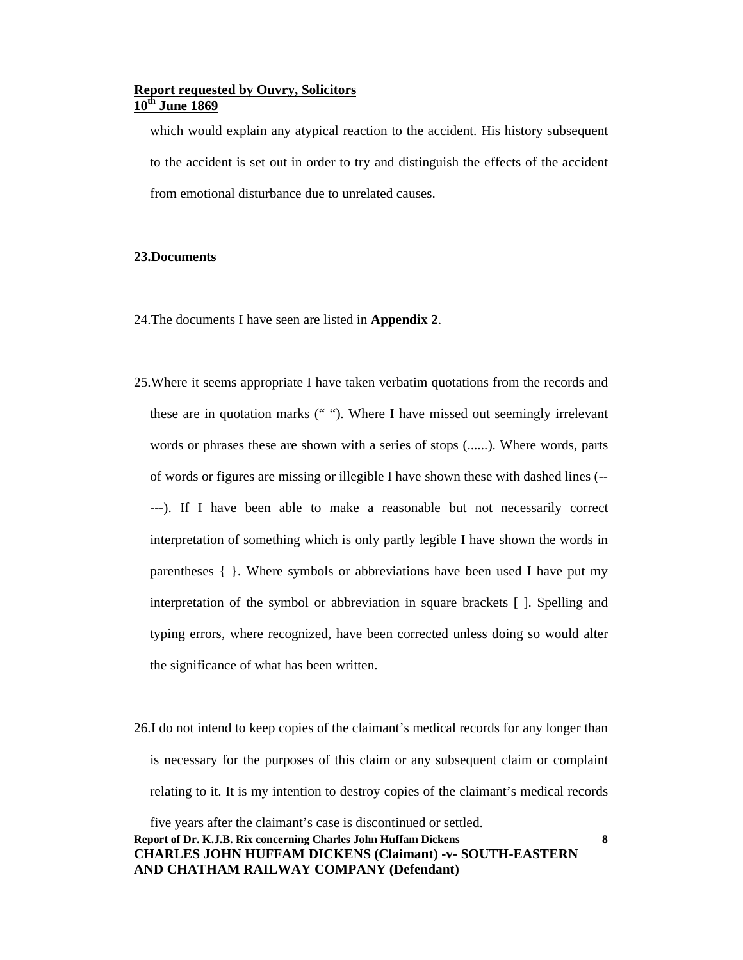which would explain any atypical reaction to the accident. His history subsequent to the accident is set out in order to try and distinguish the effects of the accident from emotional disturbance due to unrelated causes.

#### **23.Documents**

- 24.The documents I have seen are listed in **Appendix 2**.
- 25.Where it seems appropriate I have taken verbatim quotations from the records and these are in quotation marks (" "). Where I have missed out seemingly irrelevant words or phrases these are shown with a series of stops (......). Where words, parts of words or figures are missing or illegible I have shown these with dashed lines (-- ---). If I have been able to make a reasonable but not necessarily correct interpretation of something which is only partly legible I have shown the words in parentheses { }. Where symbols or abbreviations have been used I have put my interpretation of the symbol or abbreviation in square brackets [ ]. Spelling and typing errors, where recognized, have been corrected unless doing so would alter the significance of what has been written.
- 26.I do not intend to keep copies of the claimant's medical records for any longer than is necessary for the purposes of this claim or any subsequent claim or complaint relating to it. It is my intention to destroy copies of the claimant's medical records

**Report of Dr. K.J.B. Rix concerning Charles John Huffam Dickens CHARLES JOHN HUFFAM DICKENS (Claimant) -v- SOUTH-EASTERN AND CHATHAM RAILWAY COMPANY (Defendant)** five years after the claimant's case is discontinued or settled.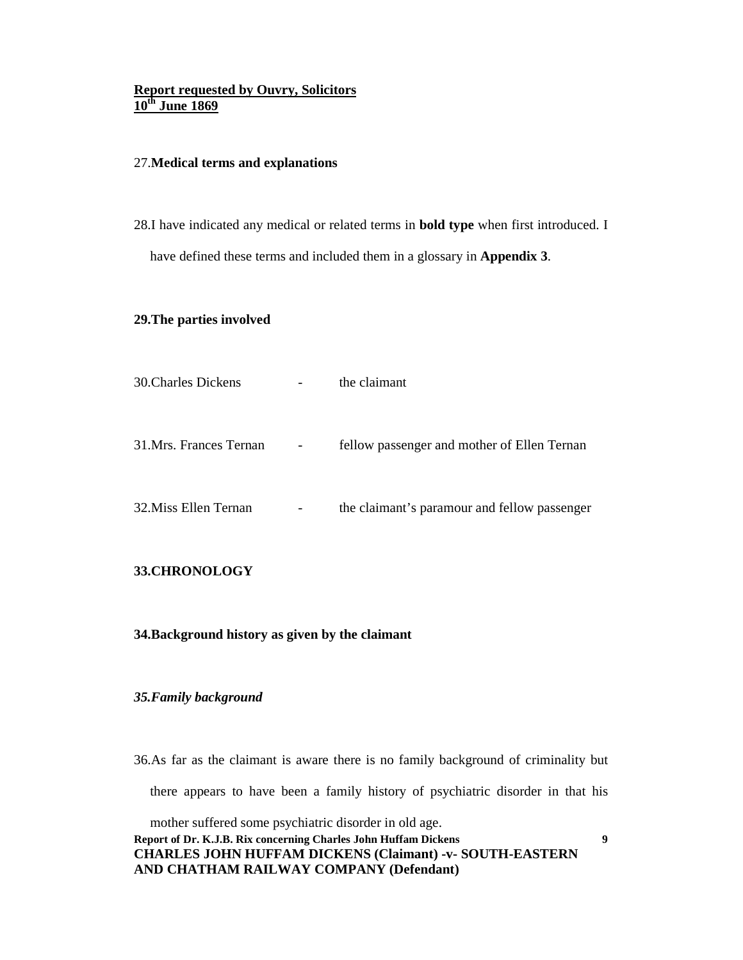#### 27.**Medical terms and explanations**

28.I have indicated any medical or related terms in **bold type** when first introduced. I have defined these terms and included them in a glossary in **Appendix 3**.

#### **29.The parties involved**

| <b>30. Charles Dickens</b> |                          | the claimant                                 |
|----------------------------|--------------------------|----------------------------------------------|
|                            |                          |                                              |
|                            |                          |                                              |
| 31. Mrs. Frances Ternan    | $\overline{\phantom{a}}$ | fellow passenger and mother of Ellen Ternan  |
|                            |                          |                                              |
| 32. Miss Ellen Ternan      | -                        | the claimant's paramour and fellow passenger |
|                            |                          |                                              |

### **33.CHRONOLOGY**

**34.Background history as given by the claimant** 

#### *35.Family background*

36.As far as the claimant is aware there is no family background of criminality but there appears to have been a family history of psychiatric disorder in that his

**Report of Dr. K.J.B. Rix concerning Charles John Huffam Dickens CHARLES JOHN HUFFAM DICKENS (Claimant) -v- SOUTH-EASTERN AND CHATHAM RAILWAY COMPANY (Defendant)** mother suffered some psychiatric disorder in old age.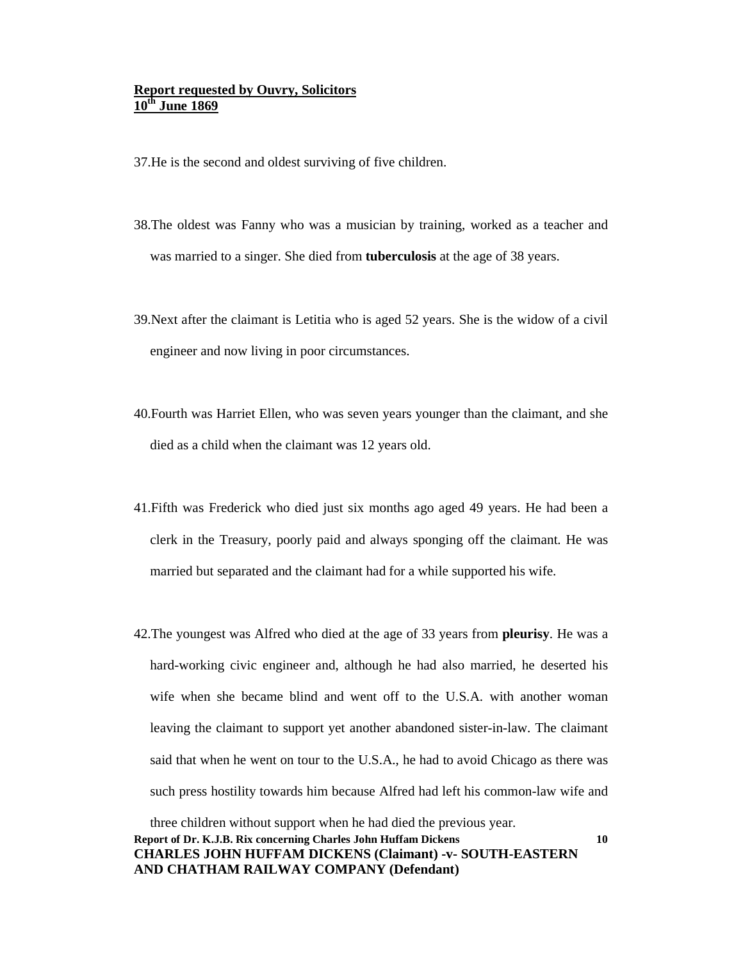37.He is the second and oldest surviving of five children.

- 38.The oldest was Fanny who was a musician by training, worked as a teacher and was married to a singer. She died from **tuberculosis** at the age of 38 years.
- 39.Next after the claimant is Letitia who is aged 52 years. She is the widow of a civil engineer and now living in poor circumstances.
- 40.Fourth was Harriet Ellen, who was seven years younger than the claimant, and she died as a child when the claimant was 12 years old.
- 41.Fifth was Frederick who died just six months ago aged 49 years. He had been a clerk in the Treasury, poorly paid and always sponging off the claimant. He was married but separated and the claimant had for a while supported his wife.
- 42.The youngest was Alfred who died at the age of 33 years from **pleurisy**. He was a hard-working civic engineer and, although he had also married, he deserted his wife when she became blind and went off to the U.S.A. with another woman leaving the claimant to support yet another abandoned sister-in-law. The claimant said that when he went on tour to the U.S.A., he had to avoid Chicago as there was such press hostility towards him because Alfred had left his common-law wife and

**Report of Dr. K.J.B. Rix concerning Charles John Huffam Dickens CHARLES JOHN HUFFAM DICKENS (Claimant) -v- SOUTH-EASTERN AND CHATHAM RAILWAY COMPANY (Defendant)** three children without support when he had died the previous year.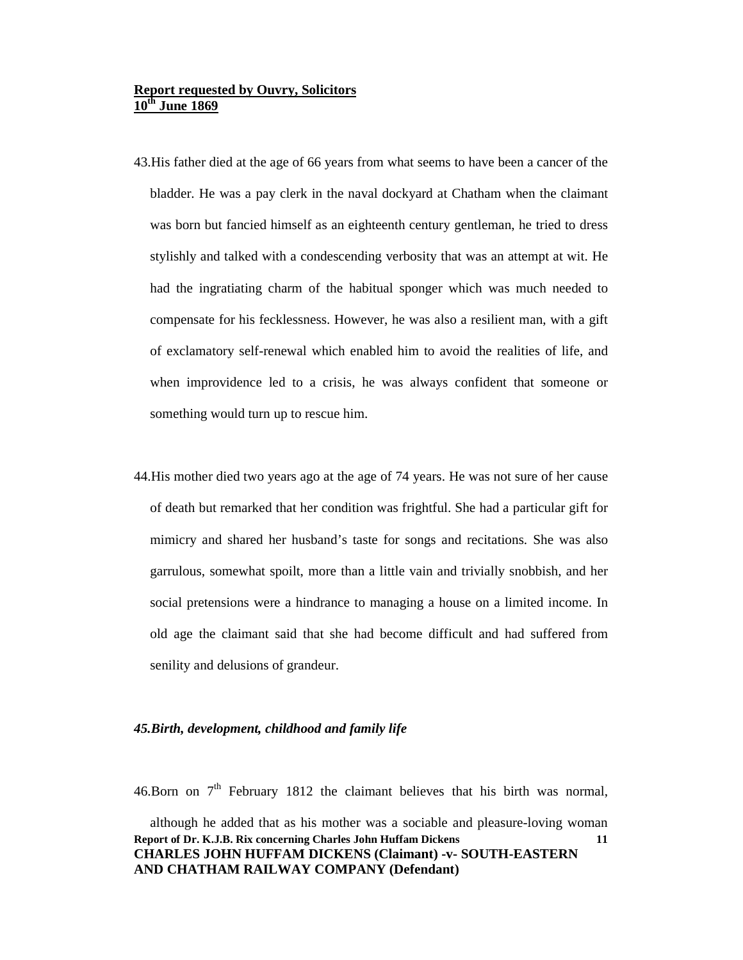- 43.His father died at the age of 66 years from what seems to have been a cancer of the bladder. He was a pay clerk in the naval dockyard at Chatham when the claimant was born but fancied himself as an eighteenth century gentleman, he tried to dress stylishly and talked with a condescending verbosity that was an attempt at wit. He had the ingratiating charm of the habitual sponger which was much needed to compensate for his fecklessness. However, he was also a resilient man, with a gift of exclamatory self-renewal which enabled him to avoid the realities of life, and when improvidence led to a crisis, he was always confident that someone or something would turn up to rescue him.
- 44.His mother died two years ago at the age of 74 years. He was not sure of her cause of death but remarked that her condition was frightful. She had a particular gift for mimicry and shared her husband's taste for songs and recitations. She was also garrulous, somewhat spoilt, more than a little vain and trivially snobbish, and her social pretensions were a hindrance to managing a house on a limited income. In old age the claimant said that she had become difficult and had suffered from senility and delusions of grandeur.

#### *45.Birth, development, childhood and family life*

46.Born on  $7<sup>th</sup>$  February 1812 the claimant believes that his birth was normal,

**Report of Dr. K.J.B. Rix concerning Charles John Huffam Dickens CHARLES JOHN HUFFAM DICKENS (Claimant) -v- SOUTH-EASTERN AND CHATHAM RAILWAY COMPANY (Defendant) 11** although he added that as his mother was a sociable and pleasure-loving woman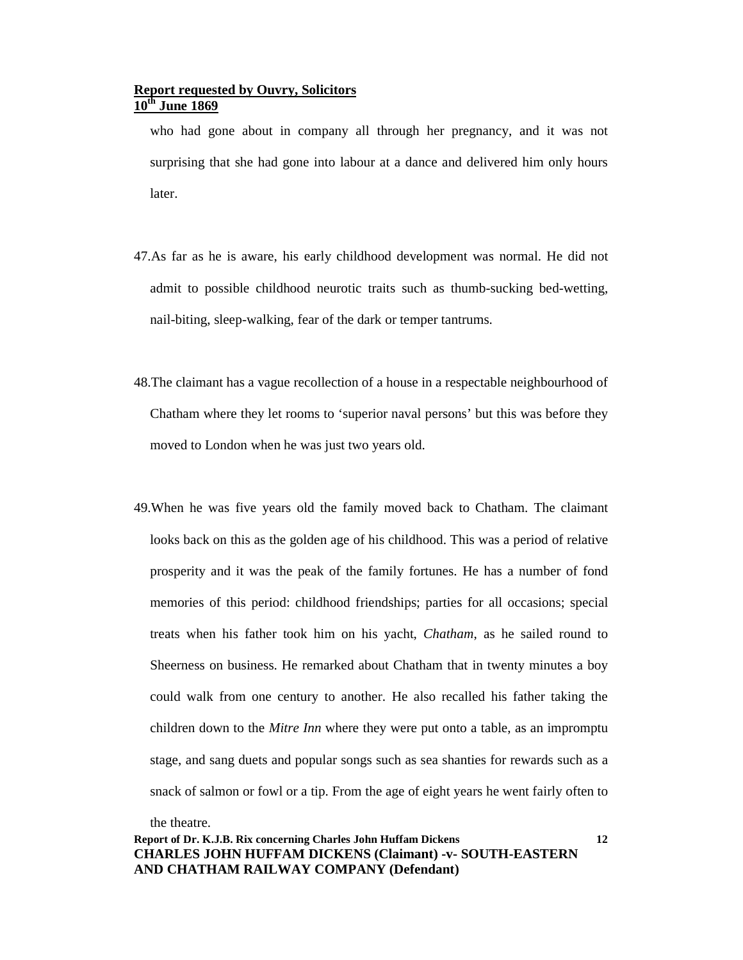who had gone about in company all through her pregnancy, and it was not surprising that she had gone into labour at a dance and delivered him only hours later.

- 47.As far as he is aware, his early childhood development was normal. He did not admit to possible childhood neurotic traits such as thumb-sucking bed-wetting, nail-biting, sleep-walking, fear of the dark or temper tantrums.
- 48.The claimant has a vague recollection of a house in a respectable neighbourhood of Chatham where they let rooms to 'superior naval persons' but this was before they moved to London when he was just two years old.
- 49.When he was five years old the family moved back to Chatham. The claimant looks back on this as the golden age of his childhood. This was a period of relative prosperity and it was the peak of the family fortunes. He has a number of fond memories of this period: childhood friendships; parties for all occasions; special treats when his father took him on his yacht, *Chatham*, as he sailed round to Sheerness on business. He remarked about Chatham that in twenty minutes a boy could walk from one century to another. He also recalled his father taking the children down to the *Mitre Inn* where they were put onto a table, as an impromptu stage, and sang duets and popular songs such as sea shanties for rewards such as a snack of salmon or fowl or a tip. From the age of eight years he went fairly often to

the theatre.

#### **Report of Dr. K.J.B. Rix concerning Charles John Huffam Dickens CHARLES JOHN HUFFAM DICKENS (Claimant) -v- SOUTH-EASTERN AND CHATHAM RAILWAY COMPANY (Defendant)**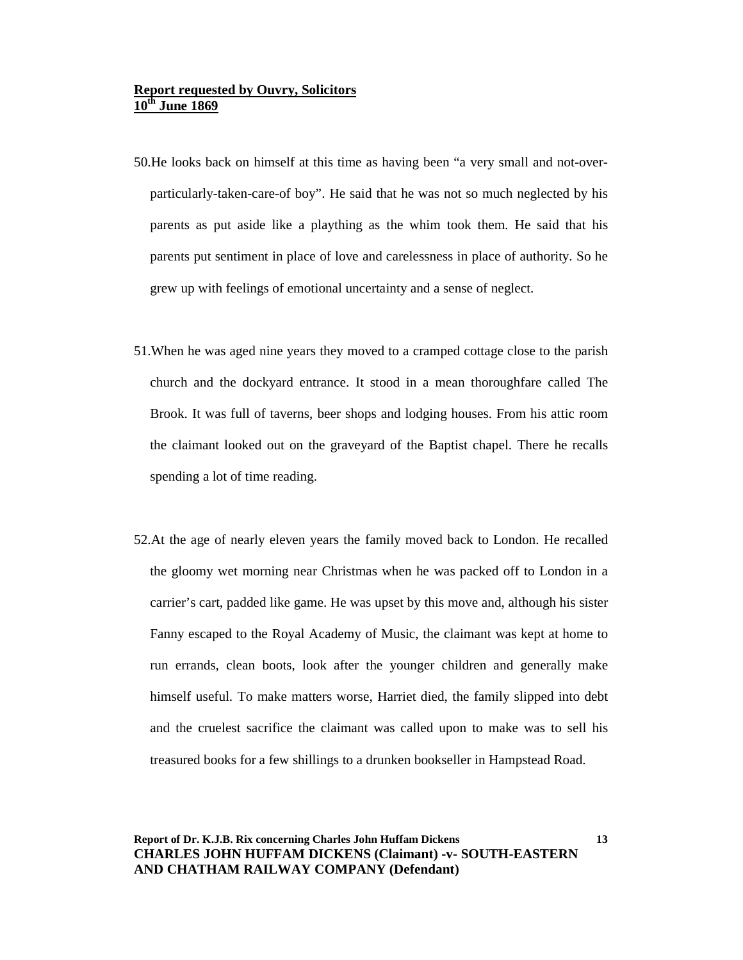- 50.He looks back on himself at this time as having been "a very small and not-overparticularly-taken-care-of boy". He said that he was not so much neglected by his parents as put aside like a plaything as the whim took them. He said that his parents put sentiment in place of love and carelessness in place of authority. So he grew up with feelings of emotional uncertainty and a sense of neglect.
- 51.When he was aged nine years they moved to a cramped cottage close to the parish church and the dockyard entrance. It stood in a mean thoroughfare called The Brook. It was full of taverns, beer shops and lodging houses. From his attic room the claimant looked out on the graveyard of the Baptist chapel. There he recalls spending a lot of time reading.
- 52.At the age of nearly eleven years the family moved back to London. He recalled the gloomy wet morning near Christmas when he was packed off to London in a carrier's cart, padded like game. He was upset by this move and, although his sister Fanny escaped to the Royal Academy of Music, the claimant was kept at home to run errands, clean boots, look after the younger children and generally make himself useful. To make matters worse, Harriet died, the family slipped into debt and the cruelest sacrifice the claimant was called upon to make was to sell his treasured books for a few shillings to a drunken bookseller in Hampstead Road.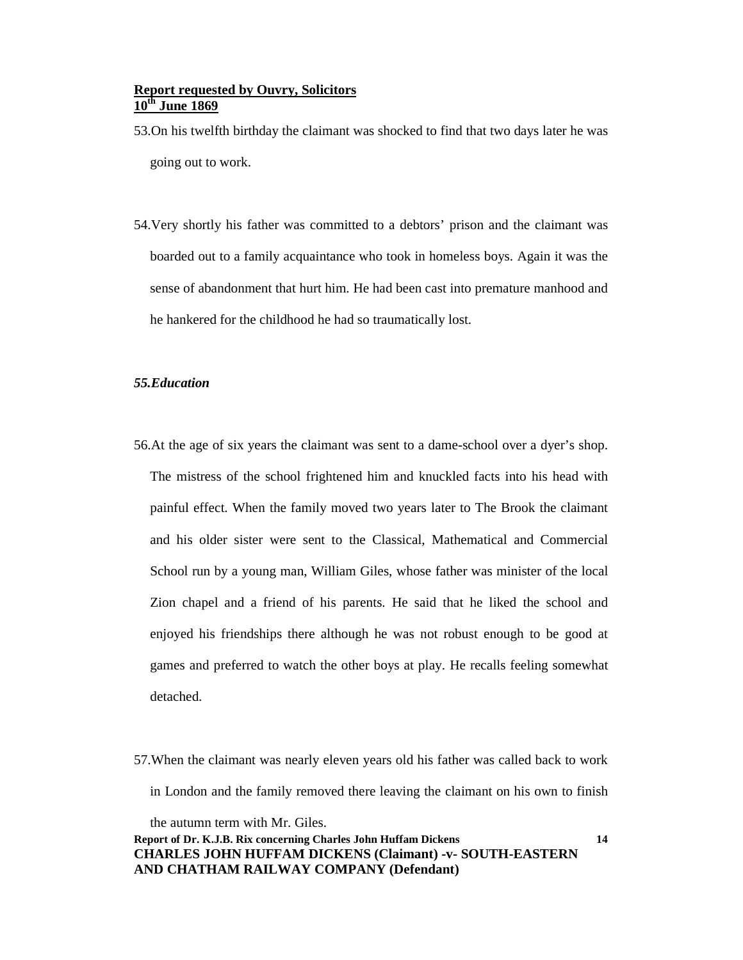53.On his twelfth birthday the claimant was shocked to find that two days later he was going out to work.

54.Very shortly his father was committed to a debtors' prison and the claimant was boarded out to a family acquaintance who took in homeless boys. Again it was the sense of abandonment that hurt him. He had been cast into premature manhood and he hankered for the childhood he had so traumatically lost.

#### *55.Education*

- 56.At the age of six years the claimant was sent to a dame-school over a dyer's shop. The mistress of the school frightened him and knuckled facts into his head with painful effect. When the family moved two years later to The Brook the claimant and his older sister were sent to the Classical, Mathematical and Commercial School run by a young man, William Giles, whose father was minister of the local Zion chapel and a friend of his parents. He said that he liked the school and enjoyed his friendships there although he was not robust enough to be good at games and preferred to watch the other boys at play. He recalls feeling somewhat detached.
- 57.When the claimant was nearly eleven years old his father was called back to work in London and the family removed there leaving the claimant on his own to finish

**Report of Dr. K.J.B. Rix concerning Charles John Huffam Dickens CHARLES JOHN HUFFAM DICKENS (Claimant) -v- SOUTH-EASTERN AND CHATHAM RAILWAY COMPANY (Defendant)** the autumn term with Mr. Giles.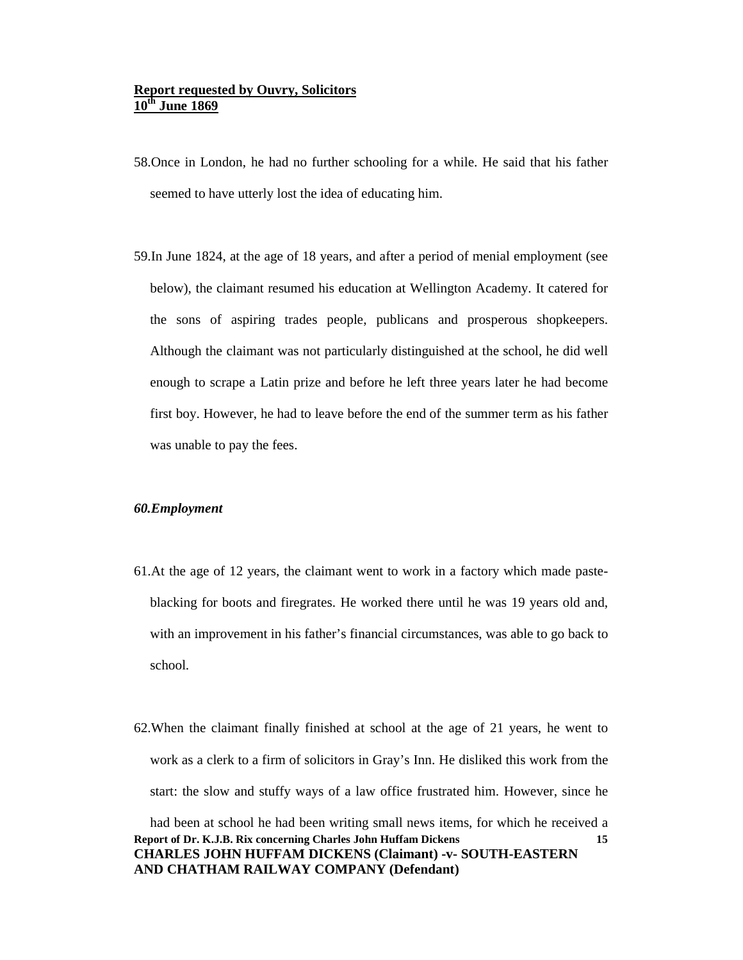- 58.Once in London, he had no further schooling for a while. He said that his father seemed to have utterly lost the idea of educating him.
- 59.In June 1824, at the age of 18 years, and after a period of menial employment (see below), the claimant resumed his education at Wellington Academy. It catered for the sons of aspiring trades people, publicans and prosperous shopkeepers. Although the claimant was not particularly distinguished at the school, he did well enough to scrape a Latin prize and before he left three years later he had become first boy. However, he had to leave before the end of the summer term as his father was unable to pay the fees.

#### *60.Employment*

- 61.At the age of 12 years, the claimant went to work in a factory which made pasteblacking for boots and firegrates. He worked there until he was 19 years old and, with an improvement in his father's financial circumstances, was able to go back to school.
- **Report of Dr. K.J.B. Rix concerning Charles John Huffam Dickens CHARLES JOHN HUFFAM DICKENS (Claimant) -v- SOUTH-EASTERN 15** 62.When the claimant finally finished at school at the age of 21 years, he went to work as a clerk to a firm of solicitors in Gray's Inn. He disliked this work from the start: the slow and stuffy ways of a law office frustrated him. However, since he had been at school he had been writing small news items, for which he received a

**AND CHATHAM RAILWAY COMPANY (Defendant)**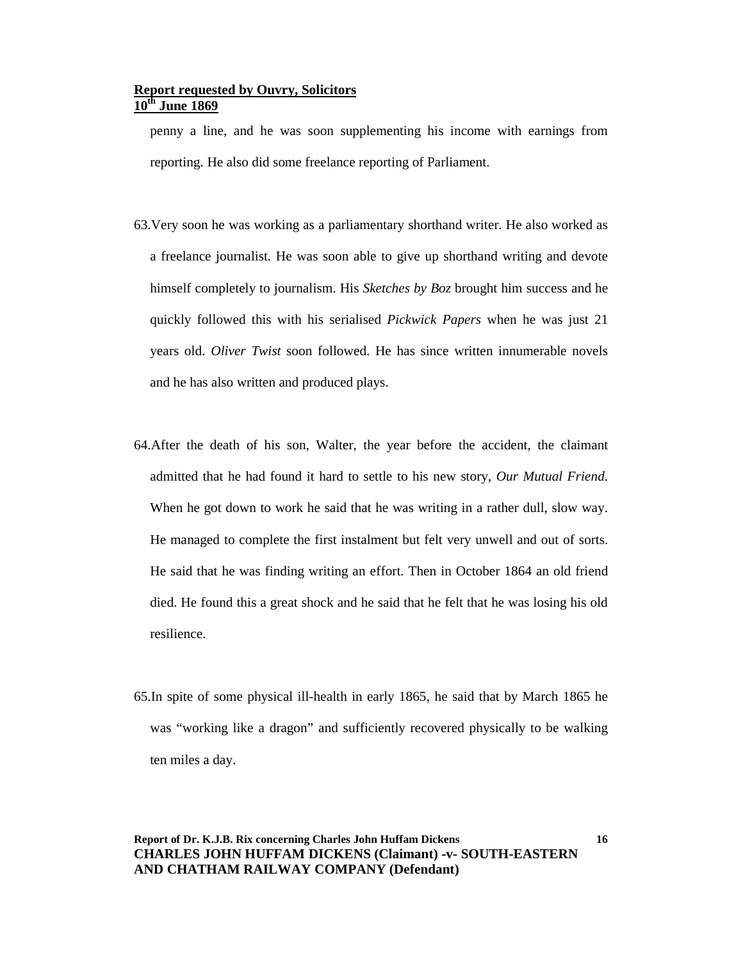penny a line, and he was soon supplementing his income with earnings from reporting. He also did some freelance reporting of Parliament.

- 63.Very soon he was working as a parliamentary shorthand writer. He also worked as a freelance journalist. He was soon able to give up shorthand writing and devote himself completely to journalism. His *Sketches by Boz* brought him success and he quickly followed this with his serialised *Pickwick Papers* when he was just 21 years old. *Oliver Twist* soon followed. He has since written innumerable novels and he has also written and produced plays.
- 64.After the death of his son, Walter, the year before the accident, the claimant admitted that he had found it hard to settle to his new story, *Our Mutual Friend*. When he got down to work he said that he was writing in a rather dull, slow way. He managed to complete the first instalment but felt very unwell and out of sorts. He said that he was finding writing an effort. Then in October 1864 an old friend died. He found this a great shock and he said that he felt that he was losing his old resilience.
- 65.In spite of some physical ill-health in early 1865, he said that by March 1865 he was "working like a dragon" and sufficiently recovered physically to be walking ten miles a day.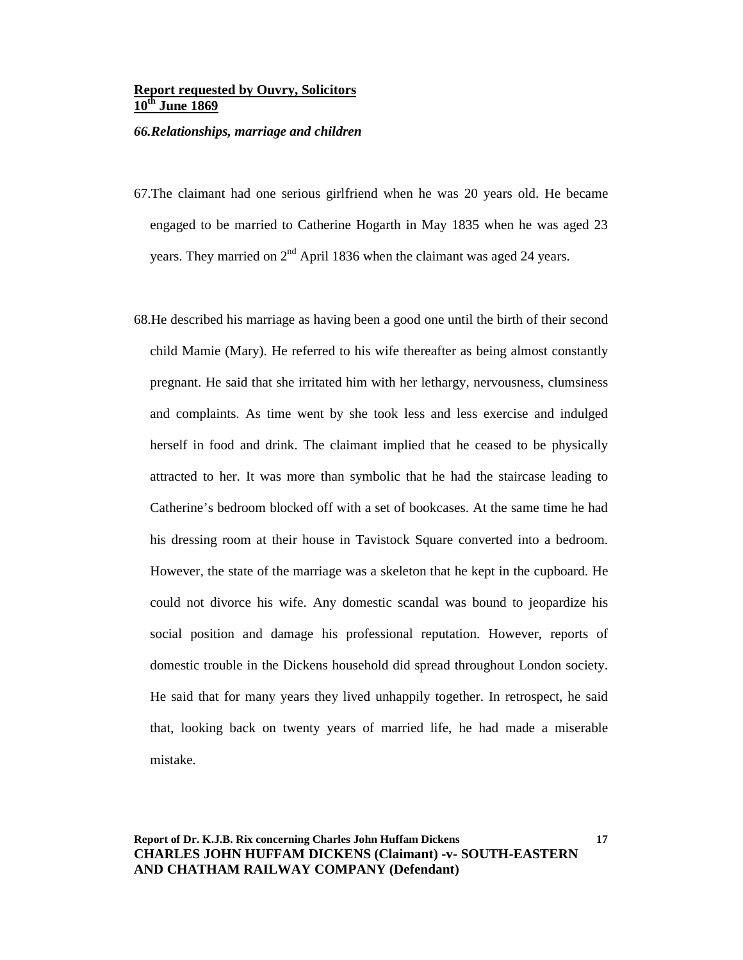#### *66.Relationships, marriage and children*

- 67.The claimant had one serious girlfriend when he was 20 years old. He became engaged to be married to Catherine Hogarth in May 1835 when he was aged 23 years. They married on 2<sup>nd</sup> April 1836 when the claimant was aged 24 years.
- 68.He described his marriage as having been a good one until the birth of their second child Mamie (Mary). He referred to his wife thereafter as being almost constantly pregnant. He said that she irritated him with her lethargy, nervousness, clumsiness and complaints. As time went by she took less and less exercise and indulged herself in food and drink. The claimant implied that he ceased to be physically attracted to her. It was more than symbolic that he had the staircase leading to Catherine's bedroom blocked off with a set of bookcases. At the same time he had his dressing room at their house in Tavistock Square converted into a bedroom. However, the state of the marriage was a skeleton that he kept in the cupboard. He could not divorce his wife. Any domestic scandal was bound to jeopardize his social position and damage his professional reputation. However, reports of domestic trouble in the Dickens household did spread throughout London society. He said that for many years they lived unhappily together. In retrospect, he said that, looking back on twenty years of married life, he had made a miserable mistake.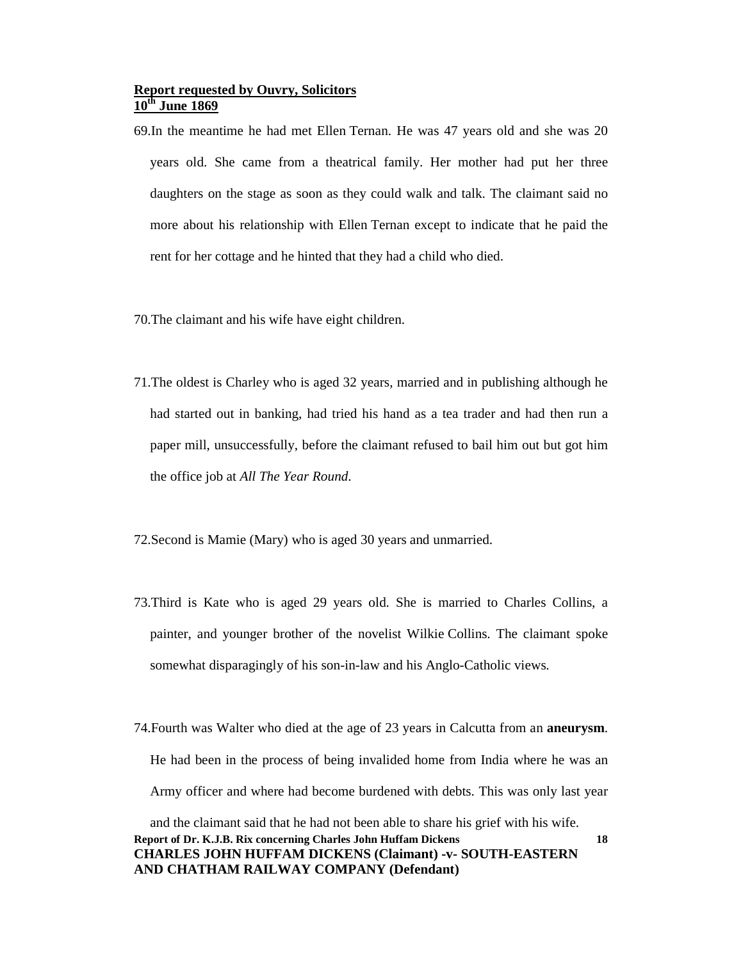- 69.In the meantime he had met Ellen Ternan. He was 47 years old and she was 20 years old. She came from a theatrical family. Her mother had put her three daughters on the stage as soon as they could walk and talk. The claimant said no more about his relationship with Ellen Ternan except to indicate that he paid the rent for her cottage and he hinted that they had a child who died.
- 70.The claimant and his wife have eight children.
- 71.The oldest is Charley who is aged 32 years, married and in publishing although he had started out in banking, had tried his hand as a tea trader and had then run a paper mill, unsuccessfully, before the claimant refused to bail him out but got him the office job at *All The Year Round*.
- 72.Second is Mamie (Mary) who is aged 30 years and unmarried.
- 73.Third is Kate who is aged 29 years old. She is married to Charles Collins, a painter, and younger brother of the novelist Wilkie Collins. The claimant spoke somewhat disparagingly of his son-in-law and his Anglo-Catholic views.
- **Report of Dr. K.J.B. Rix concerning Charles John Huffam Dickens 18** 74.Fourth was Walter who died at the age of 23 years in Calcutta from an **aneurysm**. He had been in the process of being invalided home from India where he was an Army officer and where had become burdened with debts. This was only last year and the claimant said that he had not been able to share his grief with his wife.

```
CHARLES JOHN HUFFAM DICKENS (Claimant) -v- SOUTH-EASTERN 
AND CHATHAM RAILWAY COMPANY (Defendant)
```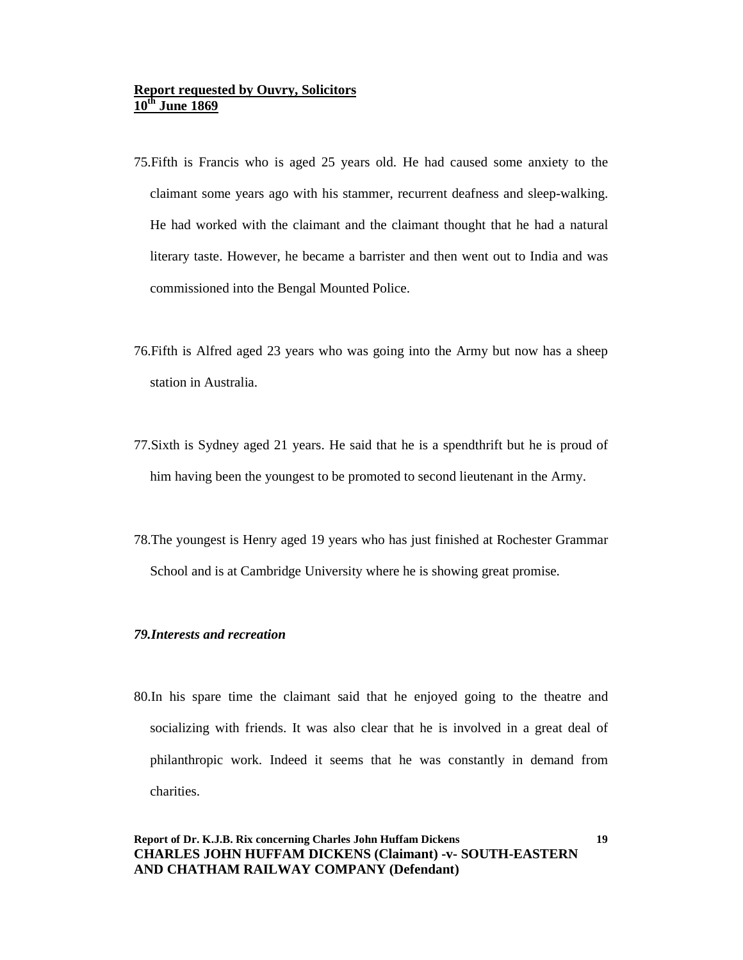- 75.Fifth is Francis who is aged 25 years old. He had caused some anxiety to the claimant some years ago with his stammer, recurrent deafness and sleep-walking. He had worked with the claimant and the claimant thought that he had a natural literary taste. However, he became a barrister and then went out to India and was commissioned into the Bengal Mounted Police.
- 76.Fifth is Alfred aged 23 years who was going into the Army but now has a sheep station in Australia.
- 77.Sixth is Sydney aged 21 years. He said that he is a spendthrift but he is proud of him having been the youngest to be promoted to second lieutenant in the Army.
- 78.The youngest is Henry aged 19 years who has just finished at Rochester Grammar School and is at Cambridge University where he is showing great promise.

#### *79.Interests and recreation*

80.In his spare time the claimant said that he enjoyed going to the theatre and socializing with friends. It was also clear that he is involved in a great deal of philanthropic work. Indeed it seems that he was constantly in demand from charities.

### **Report of Dr. K.J.B. Rix concerning Charles John Huffam Dickens CHARLES JOHN HUFFAM DICKENS (Claimant) -v- SOUTH-EASTERN AND CHATHAM RAILWAY COMPANY (Defendant)**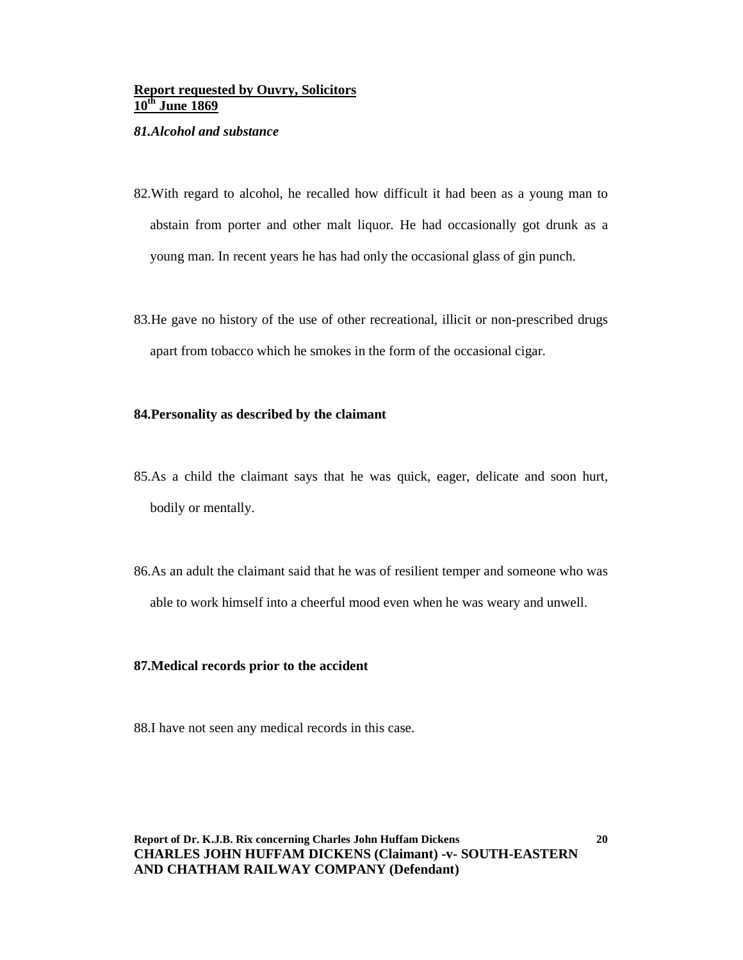#### *81.Alcohol and substance*

- 82.With regard to alcohol, he recalled how difficult it had been as a young man to abstain from porter and other malt liquor. He had occasionally got drunk as a young man. In recent years he has had only the occasional glass of gin punch.
- 83.He gave no history of the use of other recreational, illicit or non-prescribed drugs apart from tobacco which he smokes in the form of the occasional cigar.

#### **84.Personality as described by the claimant**

- 85.As a child the claimant says that he was quick, eager, delicate and soon hurt, bodily or mentally.
- 86.As an adult the claimant said that he was of resilient temper and someone who was able to work himself into a cheerful mood even when he was weary and unwell.

#### **87.Medical records prior to the accident**

88.I have not seen any medical records in this case.

**Report of Dr. K.J.B. Rix concerning Charles John Huffam Dickens CHARLES JOHN HUFFAM DICKENS (Claimant) -v- SOUTH-EASTERN AND CHATHAM RAILWAY COMPANY (Defendant)**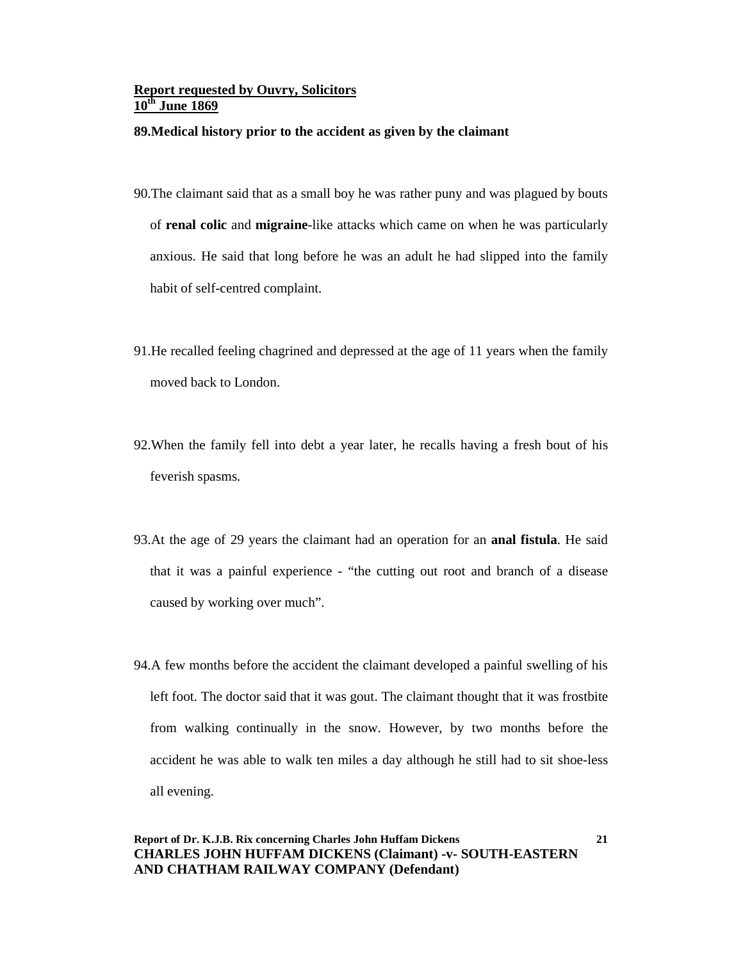#### **89.Medical history prior to the accident as given by the claimant**

- 90.The claimant said that as a small boy he was rather puny and was plagued by bouts of **renal colic** and **migraine**-like attacks which came on when he was particularly anxious. He said that long before he was an adult he had slipped into the family habit of self-centred complaint.
- 91.He recalled feeling chagrined and depressed at the age of 11 years when the family moved back to London.
- 92.When the family fell into debt a year later, he recalls having a fresh bout of his feverish spasms.
- 93.At the age of 29 years the claimant had an operation for an **anal fistula**. He said that it was a painful experience - "the cutting out root and branch of a disease caused by working over much".
- 94.A few months before the accident the claimant developed a painful swelling of his left foot. The doctor said that it was gout. The claimant thought that it was frostbite from walking continually in the snow. However, by two months before the accident he was able to walk ten miles a day although he still had to sit shoe-less all evening.

### **Report of Dr. K.J.B. Rix concerning Charles John Huffam Dickens CHARLES JOHN HUFFAM DICKENS (Claimant) -v- SOUTH-EASTERN AND CHATHAM RAILWAY COMPANY (Defendant)**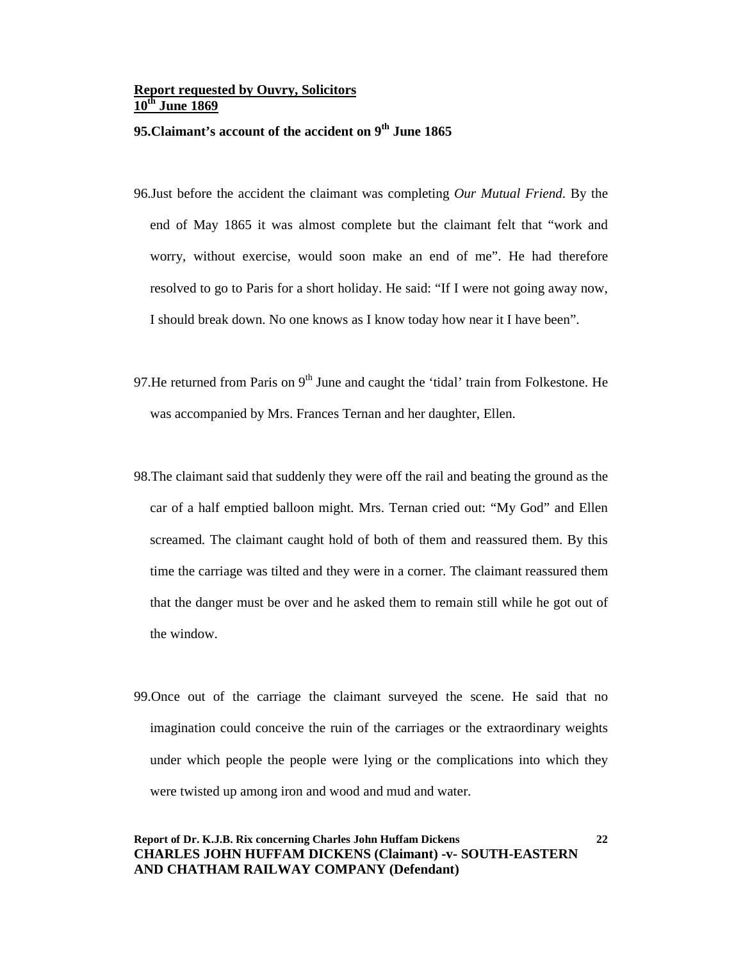### **95.Claimant's account of the accident on 9th June 1865**

- 96.Just before the accident the claimant was completing *Our Mutual Friend*. By the end of May 1865 it was almost complete but the claimant felt that "work and worry, without exercise, would soon make an end of me". He had therefore resolved to go to Paris for a short holiday. He said: "If I were not going away now, I should break down. No one knows as I know today how near it I have been".
- 97. He returned from Paris on  $9<sup>th</sup>$  June and caught the 'tidal' train from Folkestone. He was accompanied by Mrs. Frances Ternan and her daughter, Ellen.
- 98.The claimant said that suddenly they were off the rail and beating the ground as the car of a half emptied balloon might. Mrs. Ternan cried out: "My God" and Ellen screamed. The claimant caught hold of both of them and reassured them. By this time the carriage was tilted and they were in a corner. The claimant reassured them that the danger must be over and he asked them to remain still while he got out of the window.
- 99.Once out of the carriage the claimant surveyed the scene. He said that no imagination could conceive the ruin of the carriages or the extraordinary weights under which people the people were lying or the complications into which they were twisted up among iron and wood and mud and water.

### **Report of Dr. K.J.B. Rix concerning Charles John Huffam Dickens CHARLES JOHN HUFFAM DICKENS (Claimant) -v- SOUTH-EASTERN AND CHATHAM RAILWAY COMPANY (Defendant)**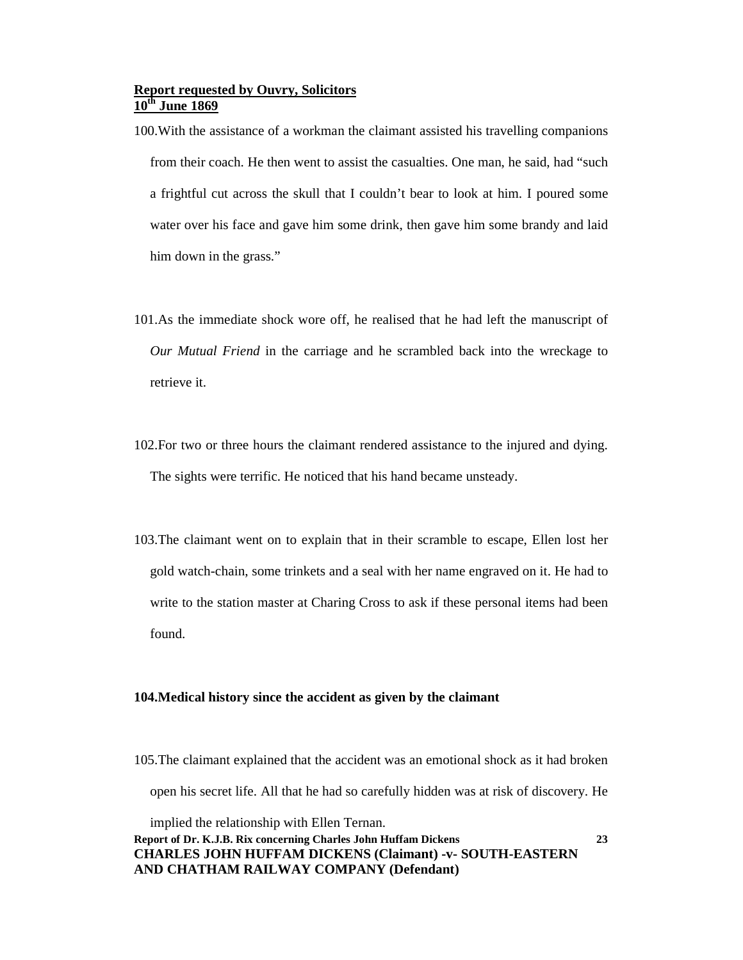- 100.With the assistance of a workman the claimant assisted his travelling companions from their coach. He then went to assist the casualties. One man, he said, had "such a frightful cut across the skull that I couldn't bear to look at him. I poured some water over his face and gave him some drink, then gave him some brandy and laid him down in the grass."
- 101.As the immediate shock wore off, he realised that he had left the manuscript of *Our Mutual Friend* in the carriage and he scrambled back into the wreckage to retrieve it.
- 102.For two or three hours the claimant rendered assistance to the injured and dying. The sights were terrific. He noticed that his hand became unsteady.
- 103.The claimant went on to explain that in their scramble to escape, Ellen lost her gold watch-chain, some trinkets and a seal with her name engraved on it. He had to write to the station master at Charing Cross to ask if these personal items had been found.

#### **104.Medical history since the accident as given by the claimant**

105.The claimant explained that the accident was an emotional shock as it had broken open his secret life. All that he had so carefully hidden was at risk of discovery. He implied the relationship with Ellen Ternan.

**23**

### **Report of Dr. K.J.B. Rix concerning Charles John Huffam Dickens CHARLES JOHN HUFFAM DICKENS (Claimant) -v- SOUTH-EASTERN AND CHATHAM RAILWAY COMPANY (Defendant)**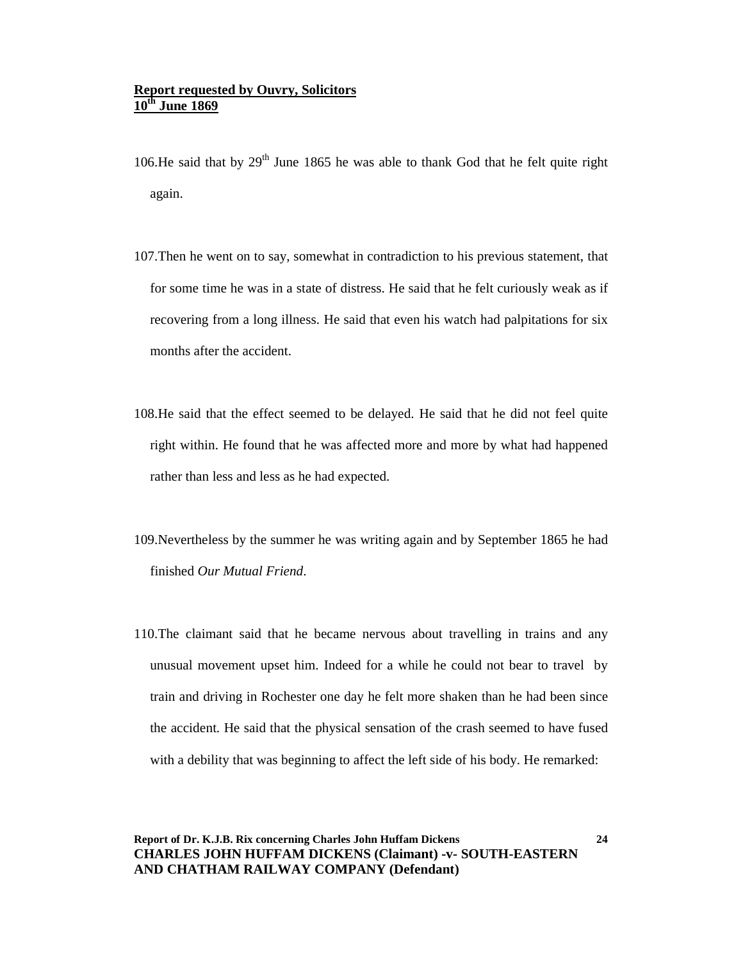- 106. He said that by  $29<sup>th</sup>$  June 1865 he was able to thank God that he felt quite right again.
- 107.Then he went on to say, somewhat in contradiction to his previous statement, that for some time he was in a state of distress. He said that he felt curiously weak as if recovering from a long illness. He said that even his watch had palpitations for six months after the accident.
- 108.He said that the effect seemed to be delayed. He said that he did not feel quite right within. He found that he was affected more and more by what had happened rather than less and less as he had expected.
- 109.Nevertheless by the summer he was writing again and by September 1865 he had finished *Our Mutual Friend*.
- 110.The claimant said that he became nervous about travelling in trains and any unusual movement upset him. Indeed for a while he could not bear to travel by train and driving in Rochester one day he felt more shaken than he had been since the accident. He said that the physical sensation of the crash seemed to have fused with a debility that was beginning to affect the left side of his body. He remarked: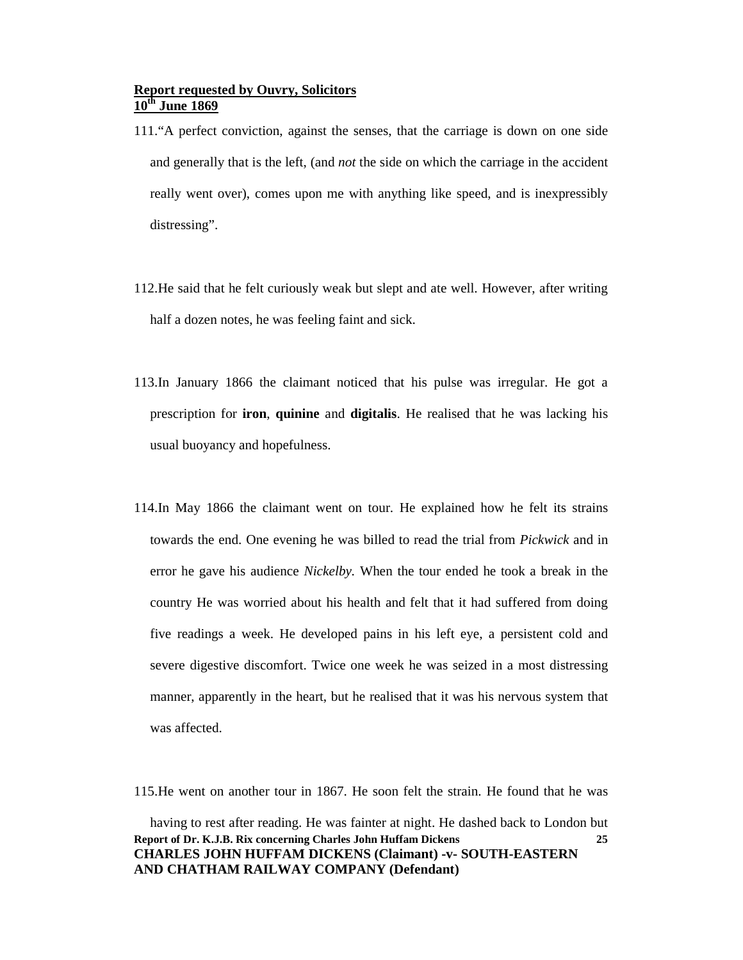- 111."A perfect conviction, against the senses, that the carriage is down on one side and generally that is the left, (and *not* the side on which the carriage in the accident really went over), comes upon me with anything like speed, and is inexpressibly distressing".
- 112.He said that he felt curiously weak but slept and ate well. However, after writing half a dozen notes, he was feeling faint and sick.
- 113.In January 1866 the claimant noticed that his pulse was irregular. He got a prescription for **iron**, **quinine** and **digitalis**. He realised that he was lacking his usual buoyancy and hopefulness.
- 114.In May 1866 the claimant went on tour. He explained how he felt its strains towards the end. One evening he was billed to read the trial from *Pickwick* and in error he gave his audience *Nickelby.* When the tour ended he took a break in the country He was worried about his health and felt that it had suffered from doing five readings a week. He developed pains in his left eye, a persistent cold and severe digestive discomfort. Twice one week he was seized in a most distressing manner, apparently in the heart, but he realised that it was his nervous system that was affected.

115.He went on another tour in 1867. He soon felt the strain. He found that he was

**Report of Dr. K.J.B. Rix concerning Charles John Huffam Dickens CHARLES JOHN HUFFAM DICKENS (Claimant) -v- SOUTH-EASTERN AND CHATHAM RAILWAY COMPANY (Defendant) 25** having to rest after reading. He was fainter at night. He dashed back to London but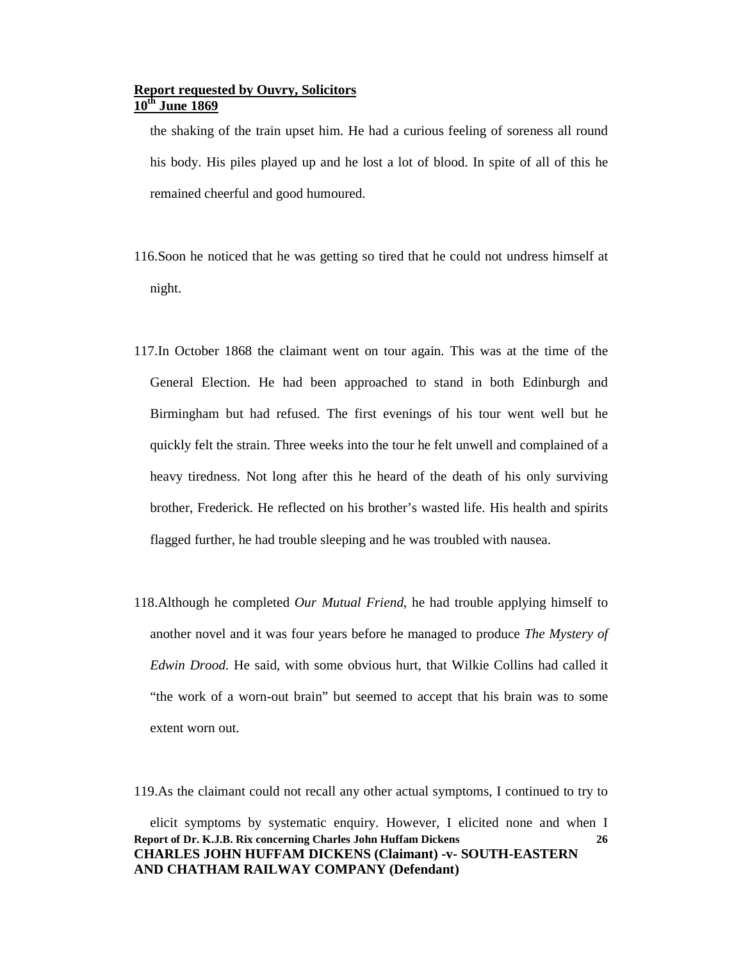the shaking of the train upset him. He had a curious feeling of soreness all round his body. His piles played up and he lost a lot of blood. In spite of all of this he remained cheerful and good humoured.

- 116.Soon he noticed that he was getting so tired that he could not undress himself at night.
- 117.In October 1868 the claimant went on tour again. This was at the time of the General Election. He had been approached to stand in both Edinburgh and Birmingham but had refused. The first evenings of his tour went well but he quickly felt the strain. Three weeks into the tour he felt unwell and complained of a heavy tiredness. Not long after this he heard of the death of his only surviving brother, Frederick. He reflected on his brother's wasted life. His health and spirits flagged further, he had trouble sleeping and he was troubled with nausea.
- 118.Although he completed *Our Mutual Friend*, he had trouble applying himself to another novel and it was four years before he managed to produce *The Mystery of Edwin Drood.* He said, with some obvious hurt, that Wilkie Collins had called it "the work of a worn-out brain" but seemed to accept that his brain was to some extent worn out.

119.As the claimant could not recall any other actual symptoms, I continued to try to

**Report of Dr. K.J.B. Rix concerning Charles John Huffam Dickens CHARLES JOHN HUFFAM DICKENS (Claimant) -v- SOUTH-EASTERN AND CHATHAM RAILWAY COMPANY (Defendant) 26** elicit symptoms by systematic enquiry. However, I elicited none and when I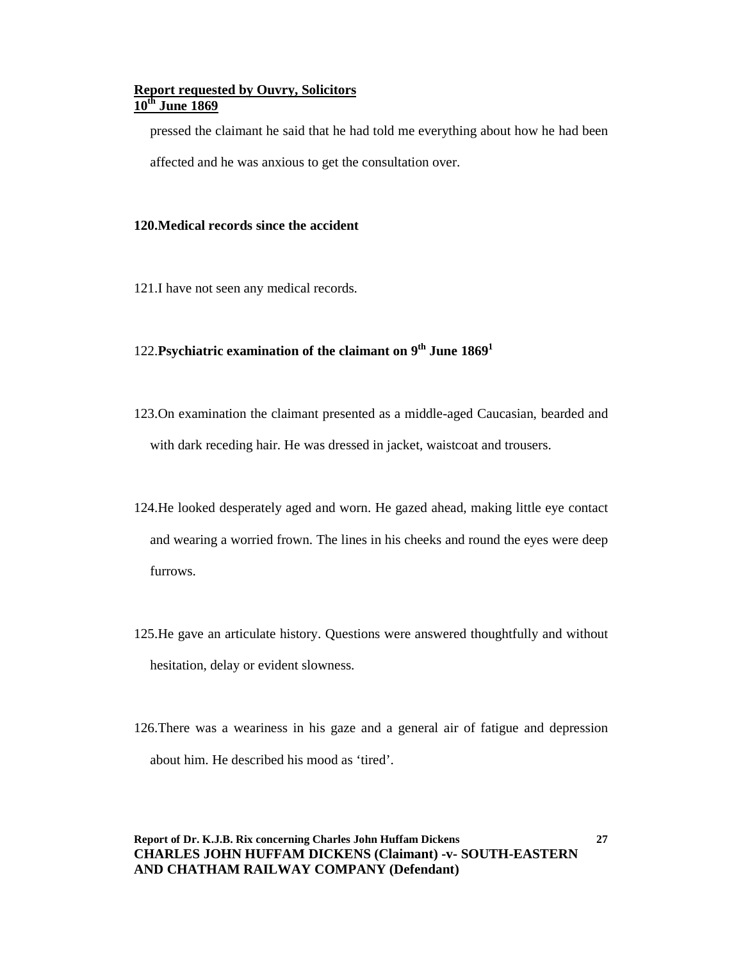pressed the claimant he said that he had told me everything about how he had been

affected and he was anxious to get the consultation over.

#### **120.Medical records since the accident**

121.I have not seen any medical records.

## 122.**Psychiatric examination of the claimant on 9th June 1869<sup>1</sup>**

- 123.On examination the claimant presented as a middle-aged Caucasian, bearded and with dark receding hair. He was dressed in jacket, waistcoat and trousers.
- 124.He looked desperately aged and worn. He gazed ahead, making little eye contact and wearing a worried frown. The lines in his cheeks and round the eyes were deep furrows.
- 125.He gave an articulate history. Questions were answered thoughtfully and without hesitation, delay or evident slowness.
- 126.There was a weariness in his gaze and a general air of fatigue and depression about him. He described his mood as 'tired'.

**Report of Dr. K.J.B. Rix concerning Charles John Huffam Dickens CHARLES JOHN HUFFAM DICKENS (Claimant) -v- SOUTH-EASTERN AND CHATHAM RAILWAY COMPANY (Defendant)**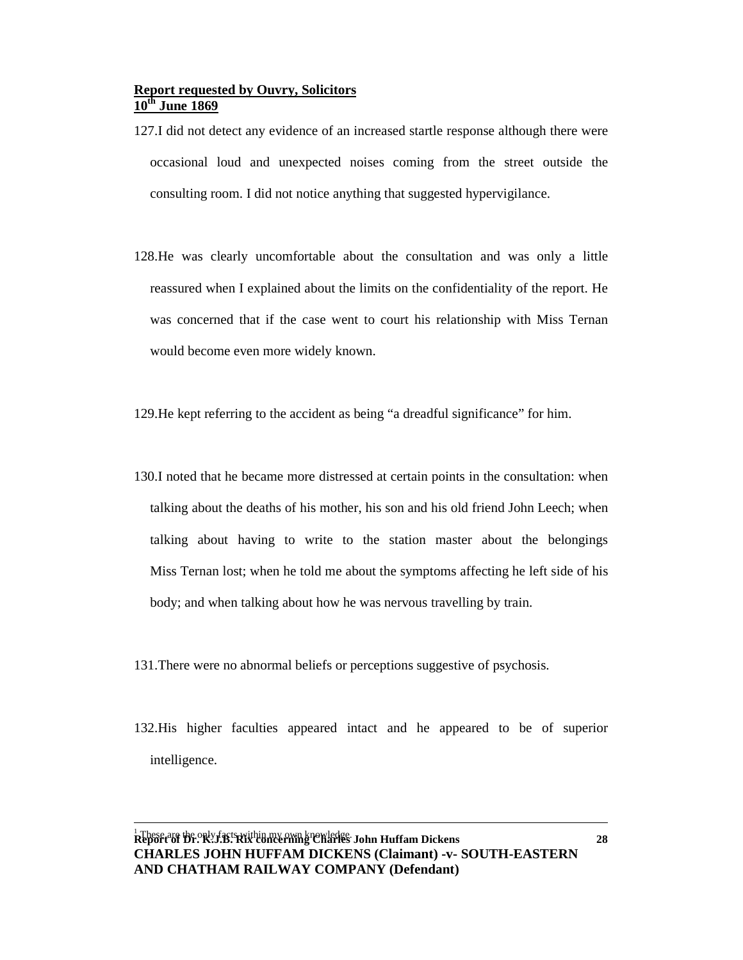- 127.I did not detect any evidence of an increased startle response although there were occasional loud and unexpected noises coming from the street outside the consulting room. I did not notice anything that suggested hypervigilance.
- 128.He was clearly uncomfortable about the consultation and was only a little reassured when I explained about the limits on the confidentiality of the report. He was concerned that if the case went to court his relationship with Miss Ternan would become even more widely known.
- 129.He kept referring to the accident as being "a dreadful significance" for him.
- 130.I noted that he became more distressed at certain points in the consultation: when talking about the deaths of his mother, his son and his old friend John Leech; when talking about having to write to the station master about the belongings Miss Ternan lost; when he told me about the symptoms affecting he left side of his body; and when talking about how he was nervous travelling by train.
- 131.There were no abnormal beliefs or perceptions suggestive of psychosis.
- 132.His higher faculties appeared intact and he appeared to be of superior intelligence.

 $\overline{a}$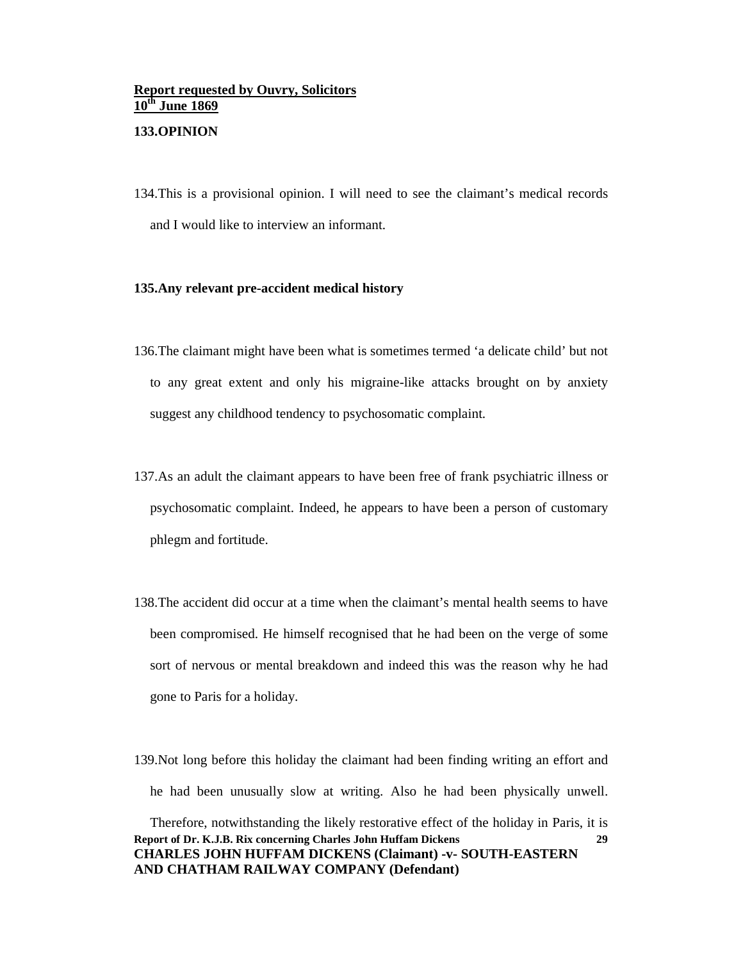### **Report requested by Ouvry, Solicitors 10th June 1869 133.OPINION**

134.This is a provisional opinion. I will need to see the claimant's medical records and I would like to interview an informant.

#### **135.Any relevant pre-accident medical history**

- 136.The claimant might have been what is sometimes termed 'a delicate child' but not to any great extent and only his migraine-like attacks brought on by anxiety suggest any childhood tendency to psychosomatic complaint.
- 137.As an adult the claimant appears to have been free of frank psychiatric illness or psychosomatic complaint. Indeed, he appears to have been a person of customary phlegm and fortitude.
- 138.The accident did occur at a time when the claimant's mental health seems to have been compromised. He himself recognised that he had been on the verge of some sort of nervous or mental breakdown and indeed this was the reason why he had gone to Paris for a holiday.
- **Report of Dr. K.J.B. Rix concerning Charles John Huffam Dickens CHARLES JOHN HUFFAM DICKENS (Claimant) -v- SOUTH-EASTERN AND CHATHAM RAILWAY COMPANY (Defendant) 29** 139.Not long before this holiday the claimant had been finding writing an effort and he had been unusually slow at writing. Also he had been physically unwell. Therefore, notwithstanding the likely restorative effect of the holiday in Paris, it is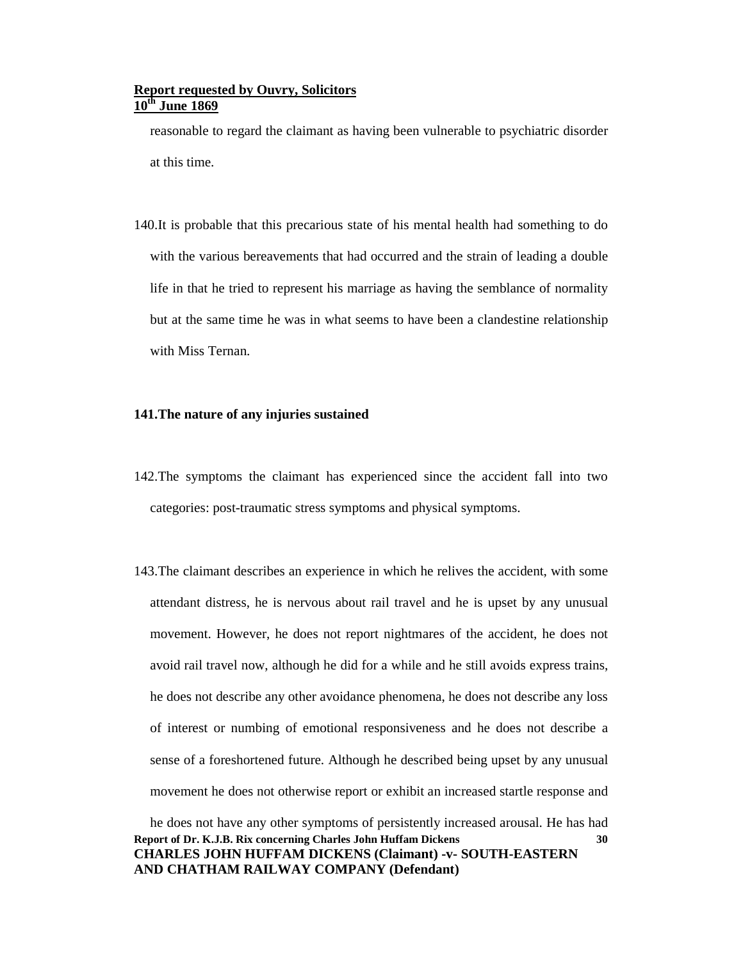reasonable to regard the claimant as having been vulnerable to psychiatric disorder at this time.

140.It is probable that this precarious state of his mental health had something to do with the various bereavements that had occurred and the strain of leading a double life in that he tried to represent his marriage as having the semblance of normality but at the same time he was in what seems to have been a clandestine relationship with Miss Ternan.

#### **141.The nature of any injuries sustained**

- 142.The symptoms the claimant has experienced since the accident fall into two categories: post-traumatic stress symptoms and physical symptoms.
- 143.The claimant describes an experience in which he relives the accident, with some attendant distress, he is nervous about rail travel and he is upset by any unusual movement. However, he does not report nightmares of the accident, he does not avoid rail travel now, although he did for a while and he still avoids express trains, he does not describe any other avoidance phenomena, he does not describe any loss of interest or numbing of emotional responsiveness and he does not describe a sense of a foreshortened future. Although he described being upset by any unusual movement he does not otherwise report or exhibit an increased startle response and

**Report of Dr. K.J.B. Rix concerning Charles John Huffam Dickens CHARLES JOHN HUFFAM DICKENS (Claimant) -v- SOUTH-EASTERN AND CHATHAM RAILWAY COMPANY (Defendant) 30** he does not have any other symptoms of persistently increased arousal. He has had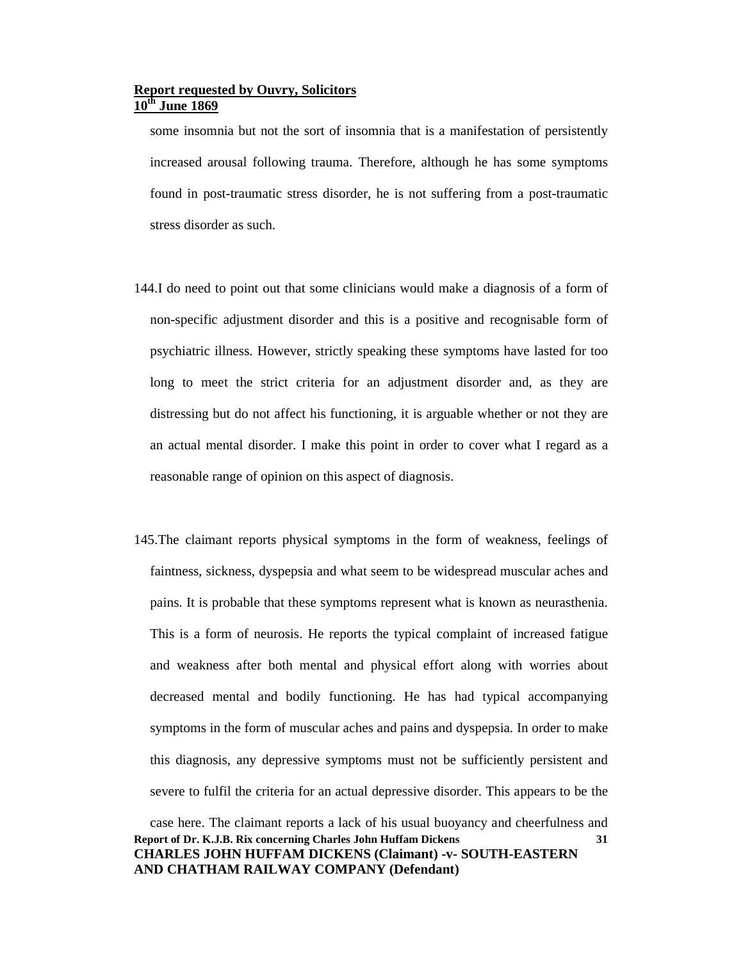some insomnia but not the sort of insomnia that is a manifestation of persistently increased arousal following trauma. Therefore, although he has some symptoms found in post-traumatic stress disorder, he is not suffering from a post-traumatic stress disorder as such.

- 144.I do need to point out that some clinicians would make a diagnosis of a form of non-specific adjustment disorder and this is a positive and recognisable form of psychiatric illness. However, strictly speaking these symptoms have lasted for too long to meet the strict criteria for an adjustment disorder and, as they are distressing but do not affect his functioning, it is arguable whether or not they are an actual mental disorder. I make this point in order to cover what I regard as a reasonable range of opinion on this aspect of diagnosis.
- 145.The claimant reports physical symptoms in the form of weakness, feelings of faintness, sickness, dyspepsia and what seem to be widespread muscular aches and pains. It is probable that these symptoms represent what is known as neurasthenia. This is a form of neurosis. He reports the typical complaint of increased fatigue and weakness after both mental and physical effort along with worries about decreased mental and bodily functioning. He has had typical accompanying symptoms in the form of muscular aches and pains and dyspepsia. In order to make this diagnosis, any depressive symptoms must not be sufficiently persistent and severe to fulfil the criteria for an actual depressive disorder. This appears to be the

#### **Report of Dr. K.J.B. Rix concerning Charles John Huffam Dickens CHARLES JOHN HUFFAM DICKENS (Claimant) -v- SOUTH-EASTERN AND CHATHAM RAILWAY COMPANY (Defendant) 31** case here. The claimant reports a lack of his usual buoyancy and cheerfulness and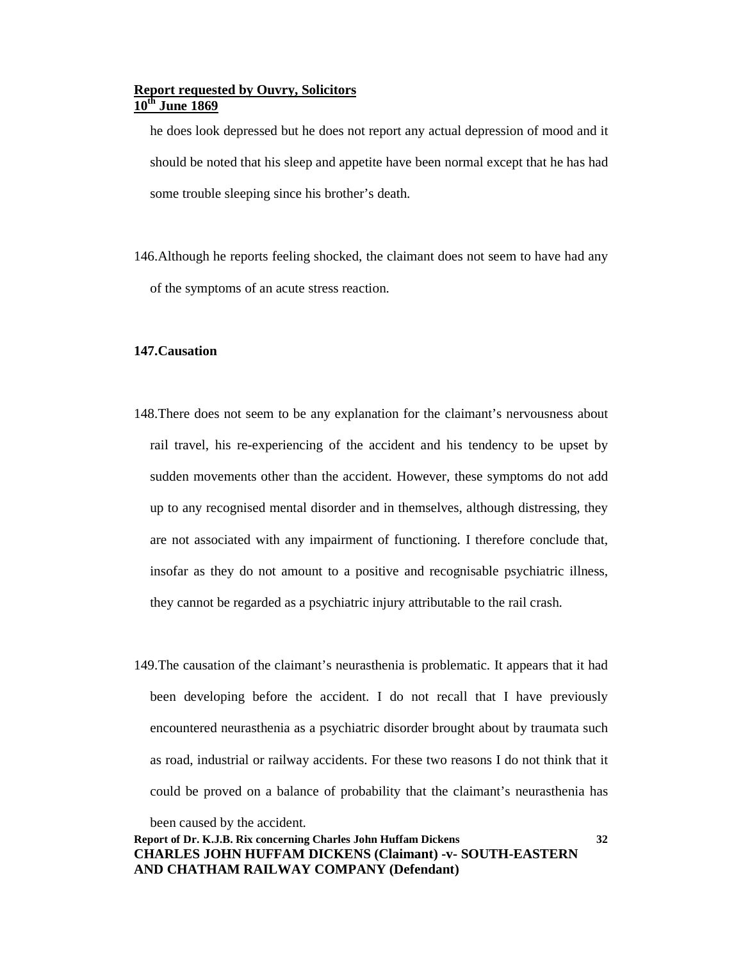he does look depressed but he does not report any actual depression of mood and it should be noted that his sleep and appetite have been normal except that he has had some trouble sleeping since his brother's death.

146.Although he reports feeling shocked, the claimant does not seem to have had any of the symptoms of an acute stress reaction.

#### **147.Causation**

- 148.There does not seem to be any explanation for the claimant's nervousness about rail travel, his re-experiencing of the accident and his tendency to be upset by sudden movements other than the accident. However, these symptoms do not add up to any recognised mental disorder and in themselves, although distressing, they are not associated with any impairment of functioning. I therefore conclude that, insofar as they do not amount to a positive and recognisable psychiatric illness, they cannot be regarded as a psychiatric injury attributable to the rail crash.
- 149.The causation of the claimant's neurasthenia is problematic. It appears that it had been developing before the accident. I do not recall that I have previously encountered neurasthenia as a psychiatric disorder brought about by traumata such as road, industrial or railway accidents. For these two reasons I do not think that it could be proved on a balance of probability that the claimant's neurasthenia has

been caused by the accident.

**Report of Dr. K.J.B. Rix concerning Charles John Huffam Dickens CHARLES JOHN HUFFAM DICKENS (Claimant) -v- SOUTH-EASTERN AND CHATHAM RAILWAY COMPANY (Defendant)**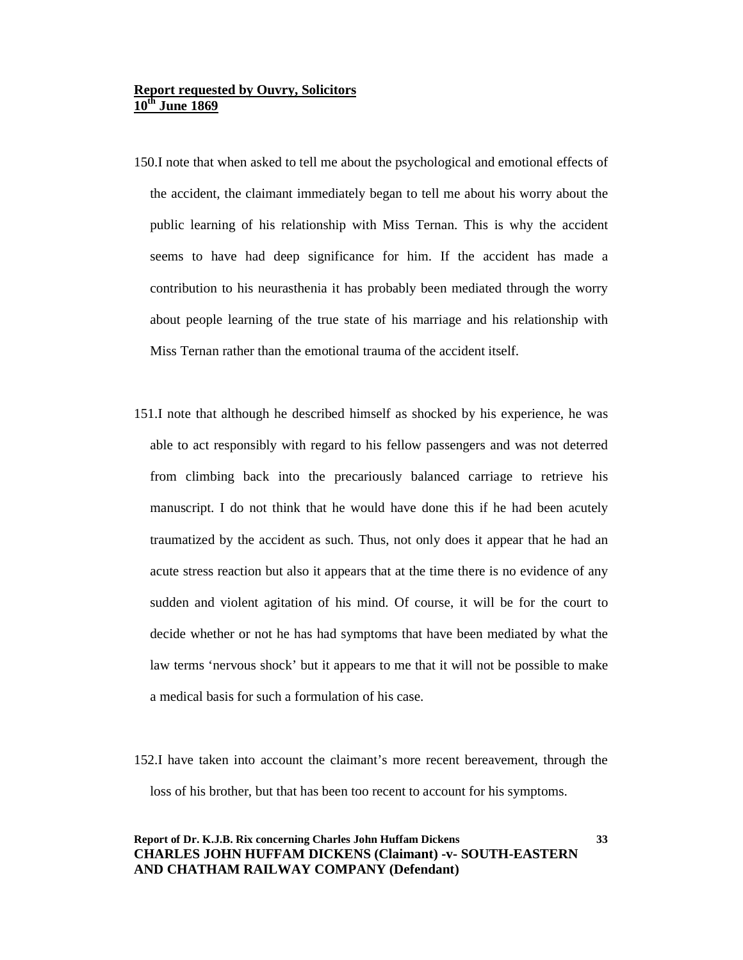- 150.I note that when asked to tell me about the psychological and emotional effects of the accident, the claimant immediately began to tell me about his worry about the public learning of his relationship with Miss Ternan. This is why the accident seems to have had deep significance for him. If the accident has made a contribution to his neurasthenia it has probably been mediated through the worry about people learning of the true state of his marriage and his relationship with Miss Ternan rather than the emotional trauma of the accident itself.
- 151.I note that although he described himself as shocked by his experience, he was able to act responsibly with regard to his fellow passengers and was not deterred from climbing back into the precariously balanced carriage to retrieve his manuscript. I do not think that he would have done this if he had been acutely traumatized by the accident as such. Thus, not only does it appear that he had an acute stress reaction but also it appears that at the time there is no evidence of any sudden and violent agitation of his mind. Of course, it will be for the court to decide whether or not he has had symptoms that have been mediated by what the law terms 'nervous shock' but it appears to me that it will not be possible to make a medical basis for such a formulation of his case.
- 152.I have taken into account the claimant's more recent bereavement, through the loss of his brother, but that has been too recent to account for his symptoms.

### **Report of Dr. K.J.B. Rix concerning Charles John Huffam Dickens CHARLES JOHN HUFFAM DICKENS (Claimant) -v- SOUTH-EASTERN AND CHATHAM RAILWAY COMPANY (Defendant)**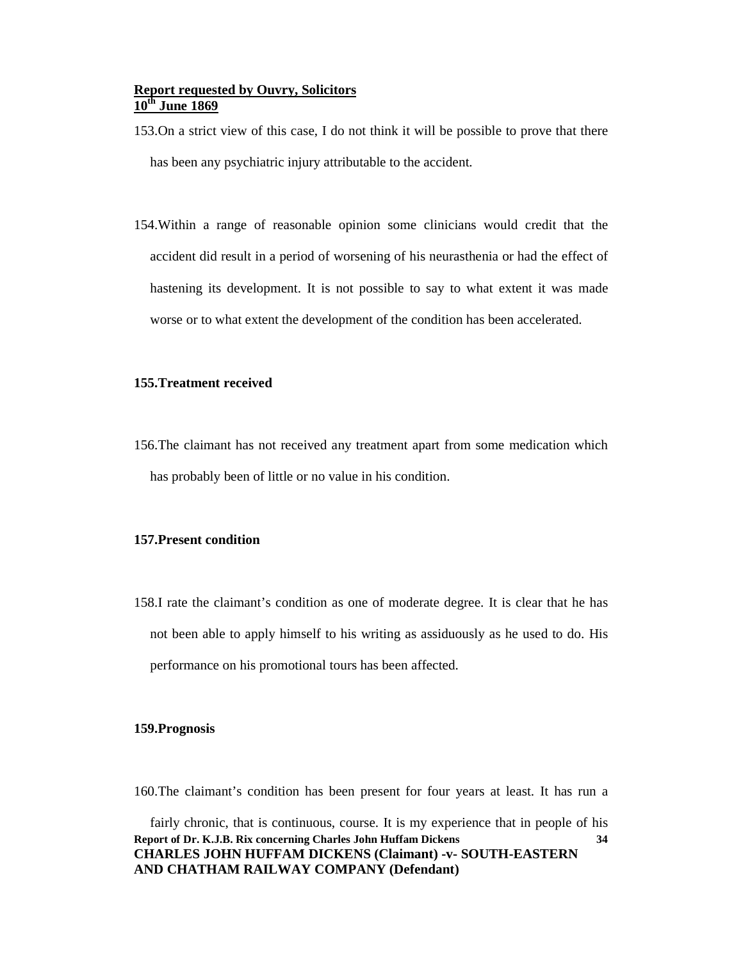153.On a strict view of this case, I do not think it will be possible to prove that there has been any psychiatric injury attributable to the accident.

154.Within a range of reasonable opinion some clinicians would credit that the accident did result in a period of worsening of his neurasthenia or had the effect of hastening its development. It is not possible to say to what extent it was made worse or to what extent the development of the condition has been accelerated.

#### **155.Treatment received**

156.The claimant has not received any treatment apart from some medication which has probably been of little or no value in his condition.

#### **157.Present condition**

158.I rate the claimant's condition as one of moderate degree. It is clear that he has not been able to apply himself to his writing as assiduously as he used to do. His performance on his promotional tours has been affected.

#### **159.Prognosis**

160.The claimant's condition has been present for four years at least. It has run a

**Report of Dr. K.J.B. Rix concerning Charles John Huffam Dickens CHARLES JOHN HUFFAM DICKENS (Claimant) -v- SOUTH-EASTERN AND CHATHAM RAILWAY COMPANY (Defendant) 34** fairly chronic, that is continuous, course. It is my experience that in people of his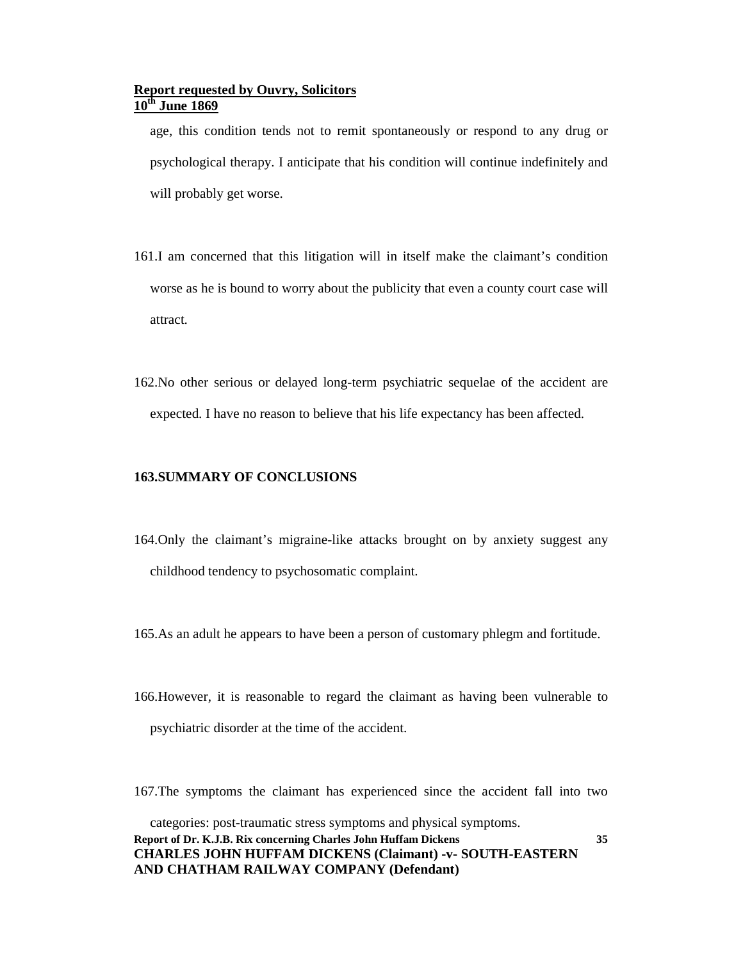age, this condition tends not to remit spontaneously or respond to any drug or psychological therapy. I anticipate that his condition will continue indefinitely and will probably get worse.

- 161.I am concerned that this litigation will in itself make the claimant's condition worse as he is bound to worry about the publicity that even a county court case will attract.
- 162.No other serious or delayed long-term psychiatric sequelae of the accident are expected. I have no reason to believe that his life expectancy has been affected.

#### **163.SUMMARY OF CONCLUSIONS**

- 164.Only the claimant's migraine-like attacks brought on by anxiety suggest any childhood tendency to psychosomatic complaint.
- 165.As an adult he appears to have been a person of customary phlegm and fortitude.
- 166.However, it is reasonable to regard the claimant as having been vulnerable to psychiatric disorder at the time of the accident.
- 167.The symptoms the claimant has experienced since the accident fall into two

**35**

**Report of Dr. K.J.B. Rix concerning Charles John Huffam Dickens CHARLES JOHN HUFFAM DICKENS (Claimant) -v- SOUTH-EASTERN AND CHATHAM RAILWAY COMPANY (Defendant)** categories: post-traumatic stress symptoms and physical symptoms.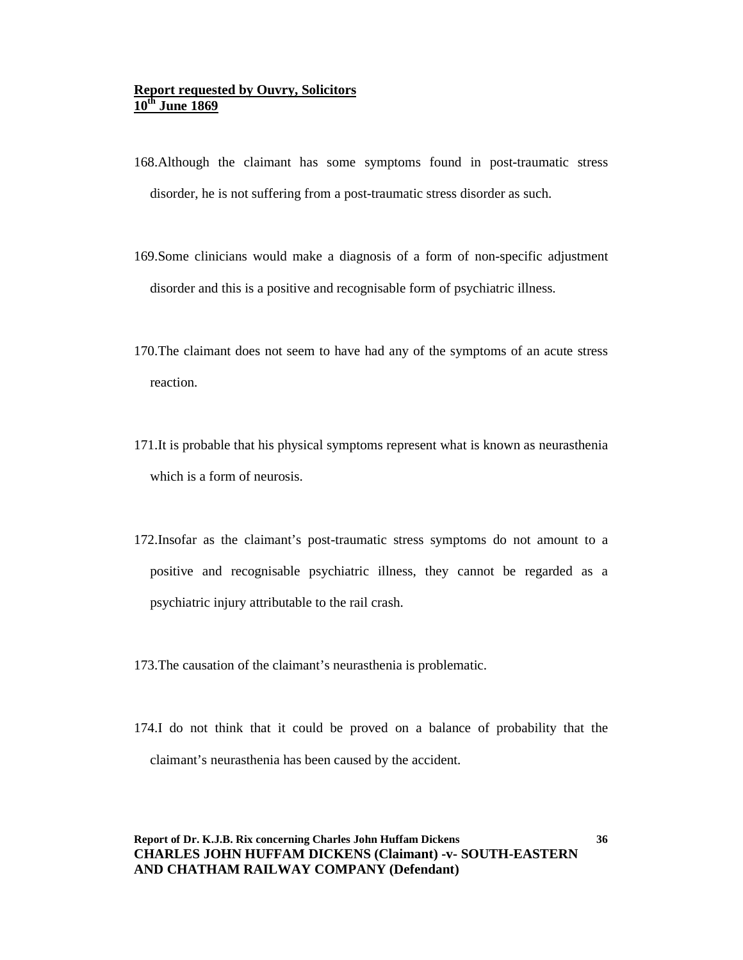- 168.Although the claimant has some symptoms found in post-traumatic stress disorder, he is not suffering from a post-traumatic stress disorder as such.
- 169.Some clinicians would make a diagnosis of a form of non-specific adjustment disorder and this is a positive and recognisable form of psychiatric illness.
- 170.The claimant does not seem to have had any of the symptoms of an acute stress reaction.
- 171.It is probable that his physical symptoms represent what is known as neurasthenia which is a form of neurosis.
- 172.Insofar as the claimant's post-traumatic stress symptoms do not amount to a positive and recognisable psychiatric illness, they cannot be regarded as a psychiatric injury attributable to the rail crash.
- 173.The causation of the claimant's neurasthenia is problematic.
- 174.I do not think that it could be proved on a balance of probability that the claimant's neurasthenia has been caused by the accident.

### **Report of Dr. K.J.B. Rix concerning Charles John Huffam Dickens CHARLES JOHN HUFFAM DICKENS (Claimant) -v- SOUTH-EASTERN AND CHATHAM RAILWAY COMPANY (Defendant)**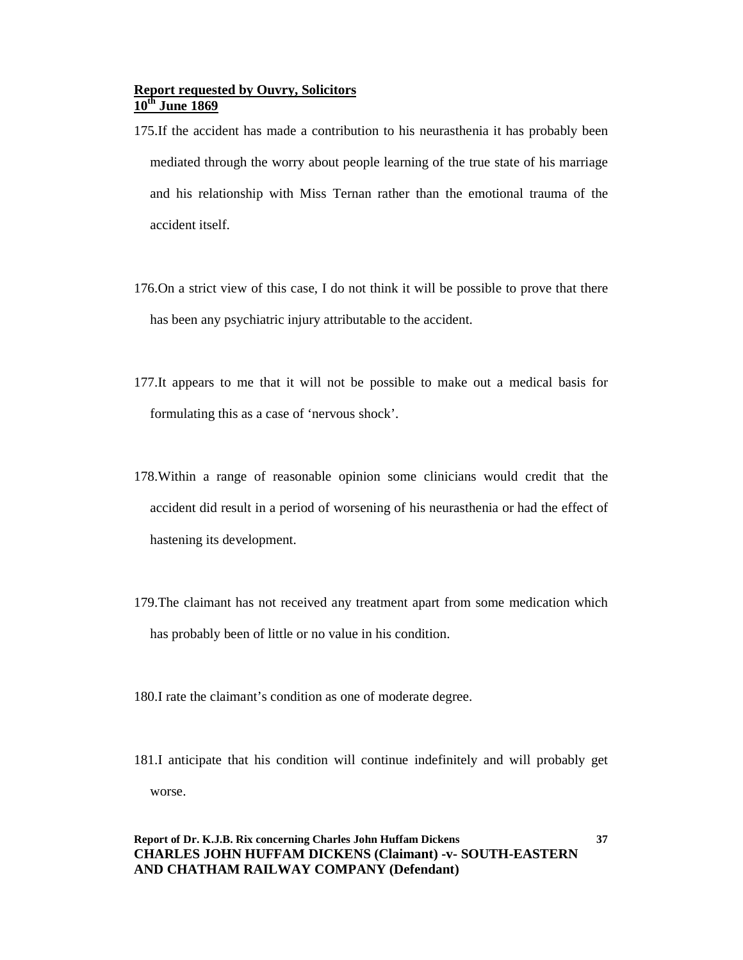- 175.If the accident has made a contribution to his neurasthenia it has probably been mediated through the worry about people learning of the true state of his marriage and his relationship with Miss Ternan rather than the emotional trauma of the accident itself.
- 176.On a strict view of this case, I do not think it will be possible to prove that there has been any psychiatric injury attributable to the accident.
- 177.It appears to me that it will not be possible to make out a medical basis for formulating this as a case of 'nervous shock'.
- 178.Within a range of reasonable opinion some clinicians would credit that the accident did result in a period of worsening of his neurasthenia or had the effect of hastening its development.
- 179.The claimant has not received any treatment apart from some medication which has probably been of little or no value in his condition.
- 180.I rate the claimant's condition as one of moderate degree.
- 181.I anticipate that his condition will continue indefinitely and will probably get worse.

**37**

### **Report of Dr. K.J.B. Rix concerning Charles John Huffam Dickens CHARLES JOHN HUFFAM DICKENS (Claimant) -v- SOUTH-EASTERN AND CHATHAM RAILWAY COMPANY (Defendant)**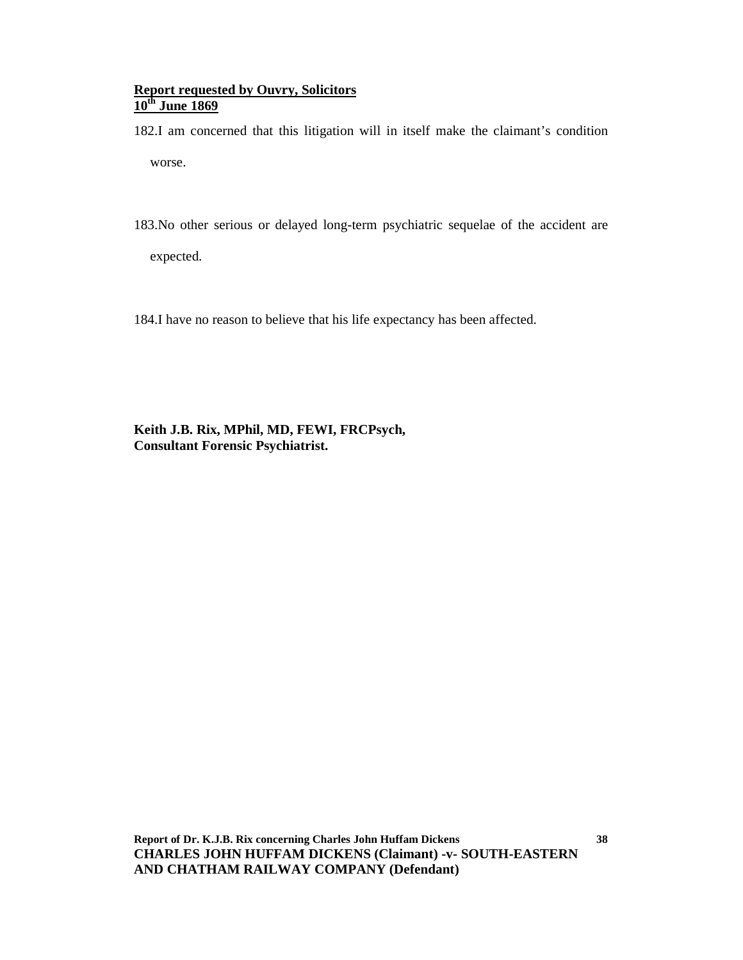182.I am concerned that this litigation will in itself make the claimant's condition worse.

183.No other serious or delayed long-term psychiatric sequelae of the accident are

expected.

184.I have no reason to believe that his life expectancy has been affected.

**Keith J.B. Rix, MPhil, MD, FEWI, FRCPsych, Consultant Forensic Psychiatrist.**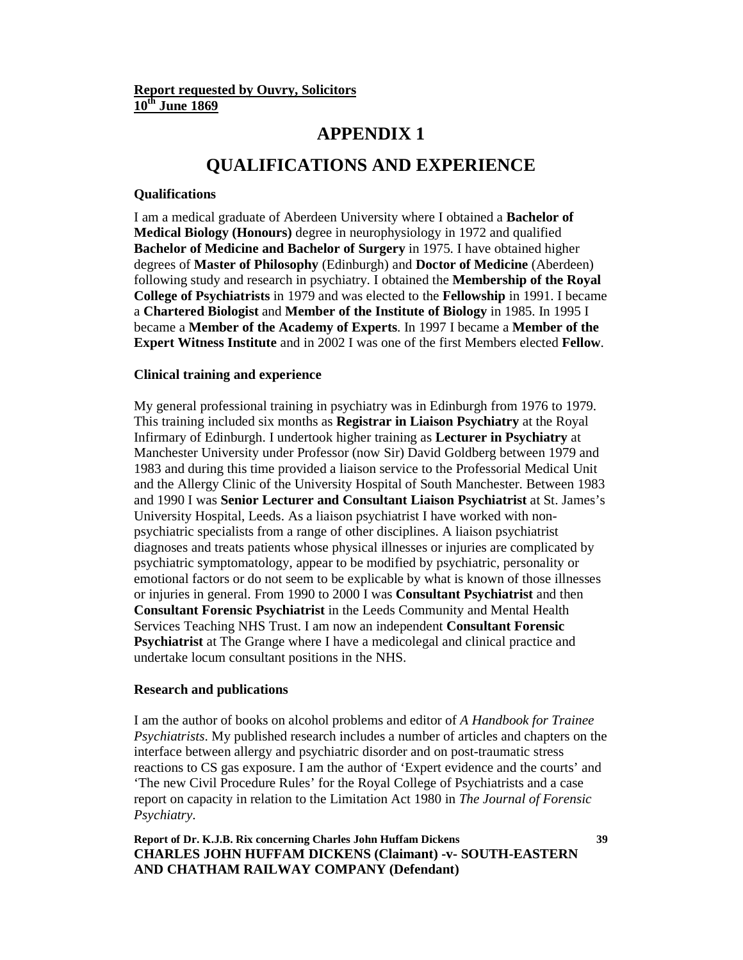## **APPENDIX 1**

# **QUALIFICATIONS AND EXPERIENCE**

#### **Qualifications**

I am a medical graduate of Aberdeen University where I obtained a **Bachelor of Medical Biology (Honours)** degree in neurophysiology in 1972 and qualified **Bachelor of Medicine and Bachelor of Surgery** in 1975. I have obtained higher degrees of **Master of Philosophy** (Edinburgh) and **Doctor of Medicine** (Aberdeen) following study and research in psychiatry. I obtained the **Membership of the Royal College of Psychiatrists** in 1979 and was elected to the **Fellowship** in 1991. I became a **Chartered Biologist** and **Member of the Institute of Biology** in 1985. In 1995 I became a **Member of the Academy of Experts**. In 1997 I became a **Member of the Expert Witness Institute** and in 2002 I was one of the first Members elected **Fellow**.

#### **Clinical training and experience**

My general professional training in psychiatry was in Edinburgh from 1976 to 1979. This training included six months as **Registrar in Liaison Psychiatry** at the Royal Infirmary of Edinburgh. I undertook higher training as **Lecturer in Psychiatry** at Manchester University under Professor (now Sir) David Goldberg between 1979 and 1983 and during this time provided a liaison service to the Professorial Medical Unit and the Allergy Clinic of the University Hospital of South Manchester. Between 1983 and 1990 I was **Senior Lecturer and Consultant Liaison Psychiatrist** at St. James's University Hospital, Leeds. As a liaison psychiatrist I have worked with nonpsychiatric specialists from a range of other disciplines. A liaison psychiatrist diagnoses and treats patients whose physical illnesses or injuries are complicated by psychiatric symptomatology, appear to be modified by psychiatric, personality or emotional factors or do not seem to be explicable by what is known of those illnesses or injuries in general. From 1990 to 2000 I was **Consultant Psychiatrist** and then **Consultant Forensic Psychiatrist** in the Leeds Community and Mental Health Services Teaching NHS Trust. I am now an independent **Consultant Forensic Psychiatrist** at The Grange where I have a medicolegal and clinical practice and undertake locum consultant positions in the NHS.

#### **Research and publications**

I am the author of books on alcohol problems and editor of *A Handbook for Trainee Psychiatrists*. My published research includes a number of articles and chapters on the interface between allergy and psychiatric disorder and on post-traumatic stress reactions to CS gas exposure. I am the author of 'Expert evidence and the courts' and 'The new Civil Procedure Rules' for the Royal College of Psychiatrists and a case report on capacity in relation to the Limitation Act 1980 in *The Journal of Forensic Psychiatry*.

### **Report of Dr. K.J.B. Rix concerning Charles John Huffam Dickens CHARLES JOHN HUFFAM DICKENS (Claimant) -v- SOUTH-EASTERN AND CHATHAM RAILWAY COMPANY (Defendant)**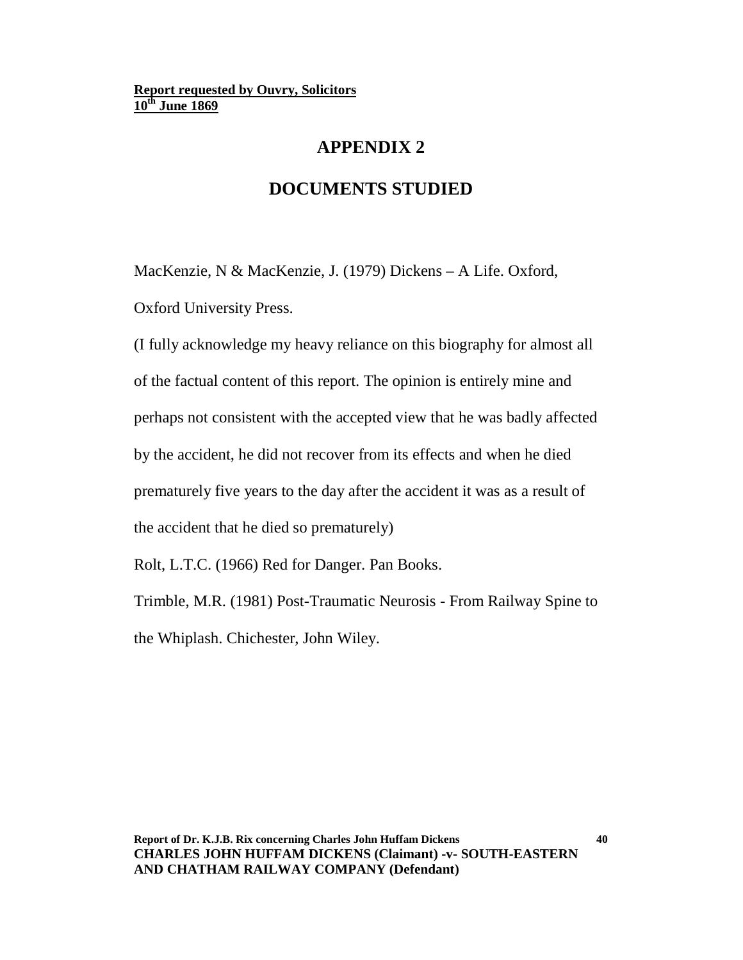# **APPENDIX 2**

# **DOCUMENTS STUDIED**

MacKenzie, N & MacKenzie, J. (1979) Dickens – A Life. Oxford, Oxford University Press.

(I fully acknowledge my heavy reliance on this biography for almost all of the factual content of this report. The opinion is entirely mine and perhaps not consistent with the accepted view that he was badly affected by the accident, he did not recover from its effects and when he died prematurely five years to the day after the accident it was as a result of the accident that he died so prematurely)

Rolt, L.T.C. (1966) Red for Danger. Pan Books.

Trimble, M.R. (1981) Post-Traumatic Neurosis - From Railway Spine to the Whiplash. Chichester, John Wiley.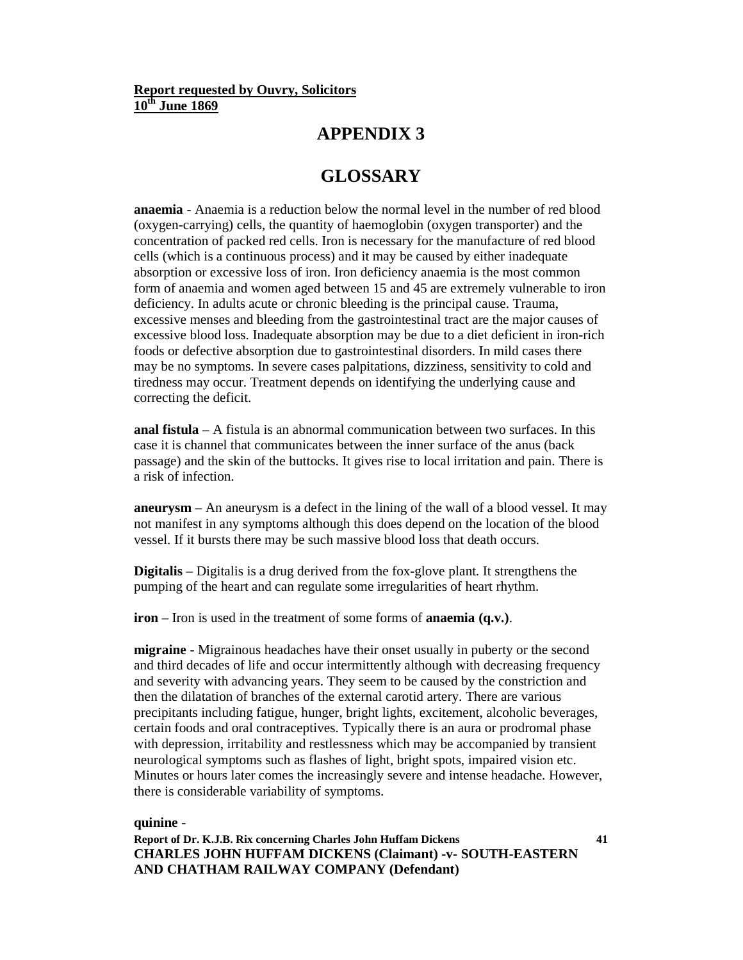## **APPENDIX 3**

# **GLOSSARY**

**anaemia** - Anaemia is a reduction below the normal level in the number of red blood (oxygen-carrying) cells, the quantity of haemoglobin (oxygen transporter) and the concentration of packed red cells. Iron is necessary for the manufacture of red blood cells (which is a continuous process) and it may be caused by either inadequate absorption or excessive loss of iron. Iron deficiency anaemia is the most common form of anaemia and women aged between 15 and 45 are extremely vulnerable to iron deficiency. In adults acute or chronic bleeding is the principal cause. Trauma, excessive menses and bleeding from the gastrointestinal tract are the major causes of excessive blood loss. Inadequate absorption may be due to a diet deficient in iron-rich foods or defective absorption due to gastrointestinal disorders. In mild cases there may be no symptoms. In severe cases palpitations, dizziness, sensitivity to cold and tiredness may occur. Treatment depends on identifying the underlying cause and correcting the deficit.

**anal fistula** – A fistula is an abnormal communication between two surfaces. In this case it is channel that communicates between the inner surface of the anus (back passage) and the skin of the buttocks. It gives rise to local irritation and pain. There is a risk of infection.

**aneurysm** – An aneurysm is a defect in the lining of the wall of a blood vessel. It may not manifest in any symptoms although this does depend on the location of the blood vessel. If it bursts there may be such massive blood loss that death occurs.

**Digitalis** – Digitalis is a drug derived from the fox-glove plant. It strengthens the pumping of the heart and can regulate some irregularities of heart rhythm.

**iron** – Iron is used in the treatment of some forms of **anaemia (q.v.)**.

**migraine** - Migrainous headaches have their onset usually in puberty or the second and third decades of life and occur intermittently although with decreasing frequency and severity with advancing years. They seem to be caused by the constriction and then the dilatation of branches of the external carotid artery. There are various precipitants including fatigue, hunger, bright lights, excitement, alcoholic beverages, certain foods and oral contraceptives. Typically there is an aura or prodromal phase with depression, irritability and restlessness which may be accompanied by transient neurological symptoms such as flashes of light, bright spots, impaired vision etc. Minutes or hours later comes the increasingly severe and intense headache. However, there is considerable variability of symptoms.

### **quinine** -

**Report of Dr. K.J.B. Rix concerning Charles John Huffam Dickens CHARLES JOHN HUFFAM DICKENS (Claimant) -v- SOUTH-EASTERN AND CHATHAM RAILWAY COMPANY (Defendant)**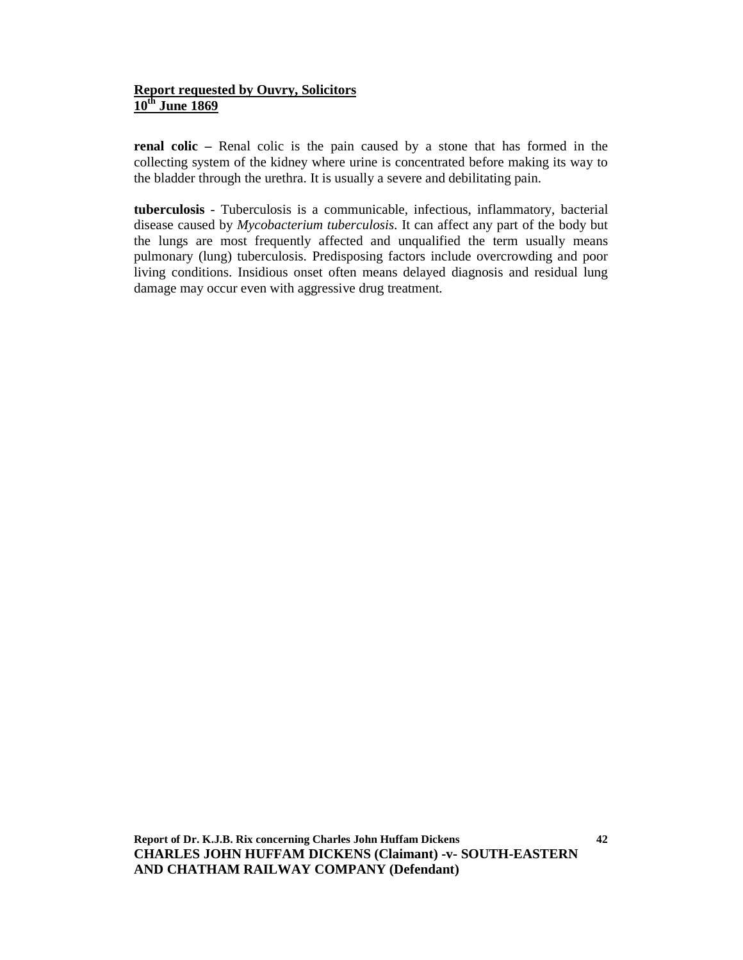**renal colic –** Renal colic is the pain caused by a stone that has formed in the collecting system of the kidney where urine is concentrated before making its way to the bladder through the urethra. It is usually a severe and debilitating pain.

**tuberculosis** - Tuberculosis is a communicable, infectious, inflammatory, bacterial disease caused by *Mycobacterium tuberculosis*. It can affect any part of the body but the lungs are most frequently affected and unqualified the term usually means pulmonary (lung) tuberculosis. Predisposing factors include overcrowding and poor living conditions. Insidious onset often means delayed diagnosis and residual lung damage may occur even with aggressive drug treatment.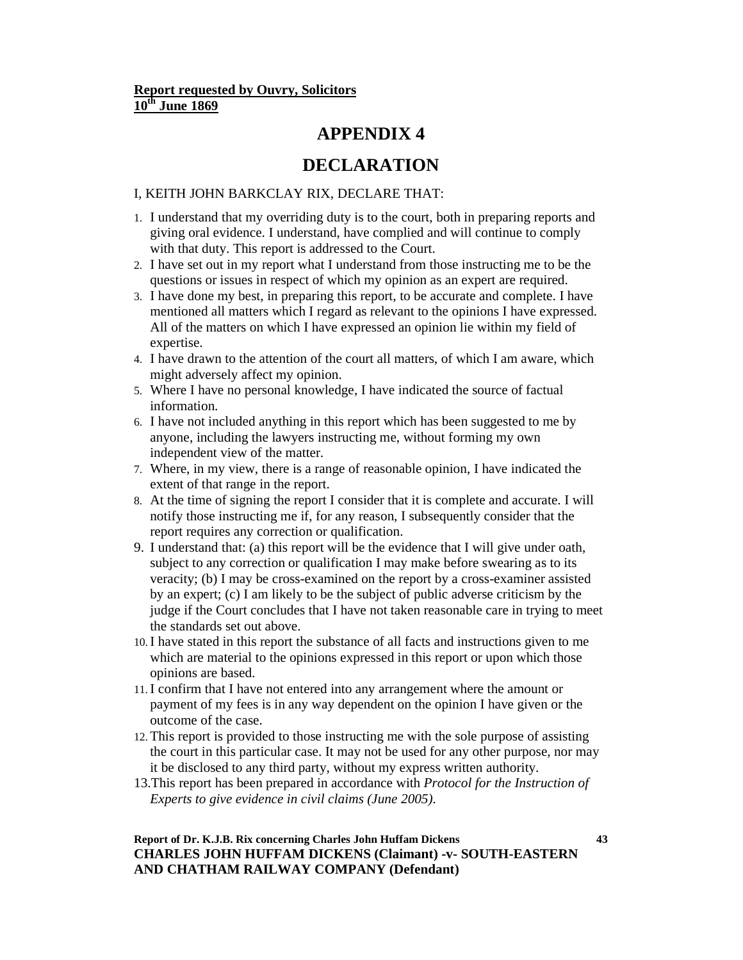## **APPENDIX 4**

# **DECLARATION**

### I, KEITH JOHN BARKCLAY RIX, DECLARE THAT:

- 1. I understand that my overriding duty is to the court, both in preparing reports and giving oral evidence. I understand, have complied and will continue to comply with that duty. This report is addressed to the Court.
- 2. I have set out in my report what I understand from those instructing me to be the questions or issues in respect of which my opinion as an expert are required.
- 3. I have done my best, in preparing this report, to be accurate and complete. I have mentioned all matters which I regard as relevant to the opinions I have expressed. All of the matters on which I have expressed an opinion lie within my field of expertise.
- 4. I have drawn to the attention of the court all matters, of which I am aware, which might adversely affect my opinion.
- 5. Where I have no personal knowledge, I have indicated the source of factual information.
- 6. I have not included anything in this report which has been suggested to me by anyone, including the lawyers instructing me, without forming my own independent view of the matter.
- 7. Where, in my view, there is a range of reasonable opinion, I have indicated the extent of that range in the report.
- 8. At the time of signing the report I consider that it is complete and accurate. I will notify those instructing me if, for any reason, I subsequently consider that the report requires any correction or qualification.
- 9. I understand that: (a) this report will be the evidence that I will give under oath, subject to any correction or qualification I may make before swearing as to its veracity; (b) I may be cross-examined on the report by a cross-examiner assisted by an expert; (c) I am likely to be the subject of public adverse criticism by the judge if the Court concludes that I have not taken reasonable care in trying to meet the standards set out above.
- 10.I have stated in this report the substance of all facts and instructions given to me which are material to the opinions expressed in this report or upon which those opinions are based.
- 11.I confirm that I have not entered into any arrangement where the amount or payment of my fees is in any way dependent on the opinion I have given or the outcome of the case.
- 12. This report is provided to those instructing me with the sole purpose of assisting the court in this particular case. It may not be used for any other purpose, nor may it be disclosed to any third party, without my express written authority.
- 13.This report has been prepared in accordance with *Protocol for the Instruction of Experts to give evidence in civil claims (June 2005)*.

### **Report of Dr. K.J.B. Rix concerning Charles John Huffam Dickens CHARLES JOHN HUFFAM DICKENS (Claimant) -v- SOUTH-EASTERN AND CHATHAM RAILWAY COMPANY (Defendant)**